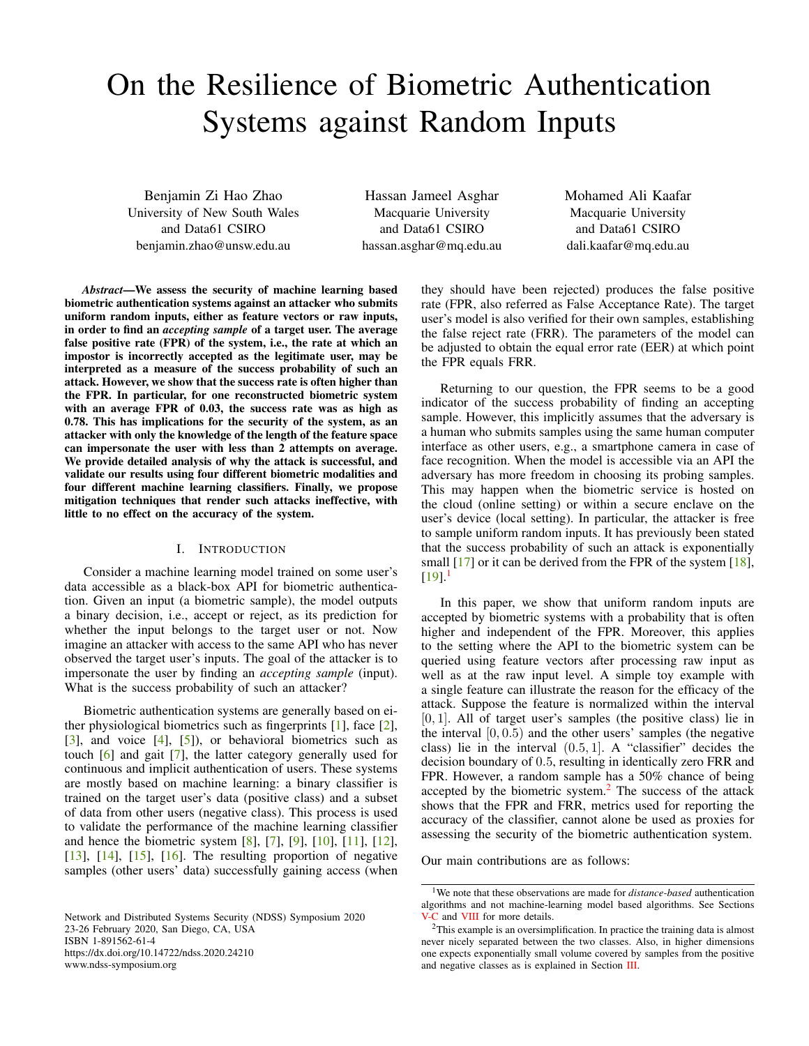# On the Resilience of Biometric Authentication Systems against Random Inputs

Benjamin Zi Hao Zhao University of New South Wales and Data61 CSIRO benjamin.zhao@unsw.edu.au

Hassan Jameel Asghar Macquarie University and Data61 CSIRO hassan.asghar@mq.edu.au Mohamed Ali Kaafar Macquarie University and Data61 CSIRO dali.kaafar@mq.edu.au

*Abstract*—We assess the security of machine learning based biometric authentication systems against an attacker who submits uniform random inputs, either as feature vectors or raw inputs, in order to find an *accepting sample* of a target user. The average false positive rate (FPR) of the system, i.e., the rate at which an impostor is incorrectly accepted as the legitimate user, may be interpreted as a measure of the success probability of such an attack. However, we show that the success rate is often higher than the FPR. In particular, for one reconstructed biometric system with an average FPR of 0.03, the success rate was as high as 0.78. This has implications for the security of the system, as an attacker with only the knowledge of the length of the feature space can impersonate the user with less than 2 attempts on average. We provide detailed analysis of why the attack is successful, and validate our results using four different biometric modalities and four different machine learning classifiers. Finally, we propose mitigation techniques that render such attacks ineffective, with little to no effect on the accuracy of the system.

# I. INTRODUCTION

Consider a machine learning model trained on some user's data accessible as a black-box API for biometric authentication. Given an input (a biometric sample), the model outputs a binary decision, i.e., accept or reject, as its prediction for whether the input belongs to the target user or not. Now imagine an attacker with access to the same API who has never observed the target user's inputs. The goal of the attacker is to impersonate the user by finding an *accepting sample* (input). What is the success probability of such an attacker?

Biometric authentication systems are generally based on either physiological biometrics such as fingerprints [\[1\]](#page-14-0), face [\[2\]](#page-14-1),  $[3]$ , and voice  $[4]$ ,  $[5]$ ), or behavioral biometrics such as touch [\[6\]](#page-14-5) and gait [\[7\]](#page-14-6), the latter category generally used for continuous and implicit authentication of users. These systems are mostly based on machine learning: a binary classifier is trained on the target user's data (positive class) and a subset of data from other users (negative class). This process is used to validate the performance of the machine learning classifier and hence the biometric system [\[8\]](#page-15-0), [\[7\]](#page-14-6), [\[9\]](#page-15-1), [\[10\]](#page-15-2), [\[11\]](#page-15-3), [\[12\]](#page-15-4), [\[13\]](#page-15-5), [\[14\]](#page-15-6), [\[15\]](#page-15-7), [\[16\]](#page-15-8). The resulting proportion of negative samples (other users' data) successfully gaining access (when

Network and Distributed Systems Security (NDSS) Symposium 2020 23-26 February 2020, San Diego, CA, USA ISBN 1-891562-61-4 https://dx.doi.org/10.14722/ndss.2020.24210

www.ndss-symposium.org

they should have been rejected) produces the false positive rate (FPR, also referred as False Acceptance Rate). The target user's model is also verified for their own samples, establishing the false reject rate (FRR). The parameters of the model can be adjusted to obtain the equal error rate (EER) at which point the FPR equals FRR.

Returning to our question, the FPR seems to be a good indicator of the success probability of finding an accepting sample. However, this implicitly assumes that the adversary is a human who submits samples using the same human computer interface as other users, e.g., a smartphone camera in case of face recognition. When the model is accessible via an API the adversary has more freedom in choosing its probing samples. This may happen when the biometric service is hosted on the cloud (online setting) or within a secure enclave on the user's device (local setting). In particular, the attacker is free to sample uniform random inputs. It has previously been stated that the success probability of such an attack is exponentially small [\[17\]](#page-15-9) or it can be derived from the FPR of the system [\[18\]](#page-15-10),  $[19]$ <sup>[1](#page-0-0)</sup>

In this paper, we show that uniform random inputs are accepted by biometric systems with a probability that is often higher and independent of the FPR. Moreover, this applies to the setting where the API to the biometric system can be queried using feature vectors after processing raw input as well as at the raw input level. A simple toy example with a single feature can illustrate the reason for the efficacy of the attack. Suppose the feature is normalized within the interval [0, 1]. All of target user's samples (the positive class) lie in the interval  $[0, 0.5)$  and the other users' samples (the negative class) lie in the interval  $(0.5, 1]$ . A "classifier" decides the decision boundary of 0.5, resulting in identically zero FRR and FPR. However, a random sample has a 50% chance of being accepted by the biometric system. $<sup>2</sup>$  $<sup>2</sup>$  $<sup>2</sup>$  The success of the attack</sup> shows that the FPR and FRR, metrics used for reporting the accuracy of the classifier, cannot alone be used as proxies for assessing the security of the biometric authentication system.

Our main contributions are as follows:

<span id="page-0-0"></span><sup>1</sup>We note that these observations are made for *distance-based* authentication algorithms and not machine-learning model based algorithms. See Sections [V-C](#page-11-0) and [VIII](#page-13-0) for more details.

<span id="page-0-1"></span><sup>2</sup>This example is an oversimplification. In practice the training data is almost never nicely separated between the two classes. Also, in higher dimensions one expects exponentially small volume covered by samples from the positive and negative classes as is explained in Section [III.](#page-3-0)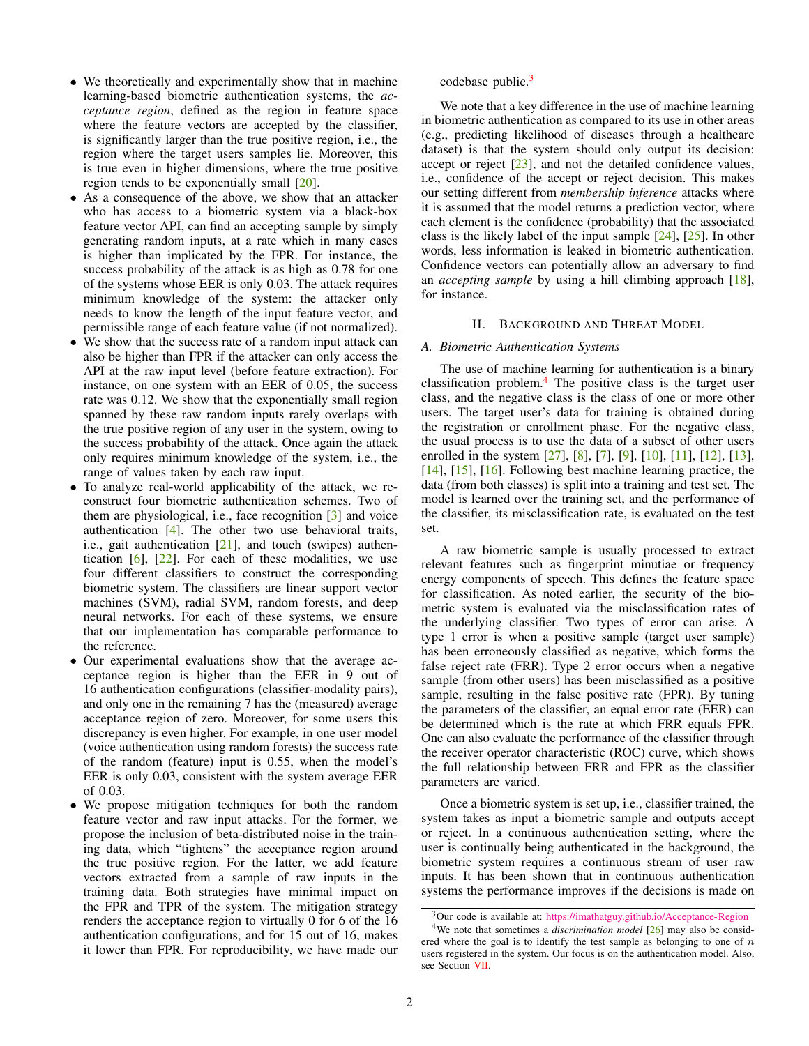- We theoretically and experimentally show that in machine learning-based biometric authentication systems, the *acceptance region*, defined as the region in feature space where the feature vectors are accepted by the classifier, is significantly larger than the true positive region, i.e., the region where the target users samples lie. Moreover, this is true even in higher dimensions, where the true positive region tends to be exponentially small [\[20\]](#page-15-12).
- As a consequence of the above, we show that an attacker who has access to a biometric system via a black-box feature vector API, can find an accepting sample by simply generating random inputs, at a rate which in many cases is higher than implicated by the FPR. For instance, the success probability of the attack is as high as 0.78 for one of the systems whose EER is only 0.03. The attack requires minimum knowledge of the system: the attacker only needs to know the length of the input feature vector, and permissible range of each feature value (if not normalized).
- We show that the success rate of a random input attack can also be higher than FPR if the attacker can only access the API at the raw input level (before feature extraction). For instance, on one system with an EER of 0.05, the success rate was 0.12. We show that the exponentially small region spanned by these raw random inputs rarely overlaps with the true positive region of any user in the system, owing to the success probability of the attack. Once again the attack only requires minimum knowledge of the system, i.e., the range of values taken by each raw input.
- To analyze real-world applicability of the attack, we reconstruct four biometric authentication schemes. Two of them are physiological, i.e., face recognition [\[3\]](#page-14-2) and voice authentication [\[4\]](#page-14-3). The other two use behavioral traits, i.e., gait authentication  $[21]$ , and touch (swipes) authentication  $[6]$ ,  $[22]$ . For each of these modalities, we use four different classifiers to construct the corresponding biometric system. The classifiers are linear support vector machines (SVM), radial SVM, random forests, and deep neural networks. For each of these systems, we ensure that our implementation has comparable performance to the reference.
- Our experimental evaluations show that the average acceptance region is higher than the EER in 9 out of 16 authentication configurations (classifier-modality pairs), and only one in the remaining 7 has the (measured) average acceptance region of zero. Moreover, for some users this discrepancy is even higher. For example, in one user model (voice authentication using random forests) the success rate of the random (feature) input is 0.55, when the model's EER is only 0.03, consistent with the system average EER of 0.03.
- We propose mitigation techniques for both the random feature vector and raw input attacks. For the former, we propose the inclusion of beta-distributed noise in the training data, which "tightens" the acceptance region around the true positive region. For the latter, we add feature vectors extracted from a sample of raw inputs in the training data. Both strategies have minimal impact on the FPR and TPR of the system. The mitigation strategy renders the acceptance region to virtually 0 for 6 of the 16 authentication configurations, and for 15 out of 16, makes it lower than FPR. For reproducibility, we have made our

codebase public.<sup>[3](#page-1-0)</sup>

We note that a key difference in the use of machine learning in biometric authentication as compared to its use in other areas (e.g., predicting likelihood of diseases through a healthcare dataset) is that the system should only output its decision: accept or reject [\[23\]](#page-15-15), and not the detailed confidence values, i.e., confidence of the accept or reject decision. This makes our setting different from *membership inference* attacks where it is assumed that the model returns a prediction vector, where each element is the confidence (probability) that the associated class is the likely label of the input sample [\[24\]](#page-15-16), [\[25\]](#page-15-17). In other words, less information is leaked in biometric authentication. Confidence vectors can potentially allow an adversary to find an *accepting sample* by using a hill climbing approach [\[18\]](#page-15-10), for instance.

## II. BACKGROUND AND THREAT MODEL

## *A. Biometric Authentication Systems*

The use of machine learning for authentication is a binary classification problem. $4$  The positive class is the target user class, and the negative class is the class of one or more other users. The target user's data for training is obtained during the registration or enrollment phase. For the negative class, the usual process is to use the data of a subset of other users enrolled in the system [\[27\]](#page-15-18), [\[8\]](#page-15-0), [\[7\]](#page-14-6), [\[9\]](#page-15-1), [\[10\]](#page-15-2), [\[11\]](#page-15-3), [\[12\]](#page-15-4), [\[13\]](#page-15-5), [\[14\]](#page-15-6), [\[15\]](#page-15-7), [\[16\]](#page-15-8). Following best machine learning practice, the data (from both classes) is split into a training and test set. The model is learned over the training set, and the performance of the classifier, its misclassification rate, is evaluated on the test set.

A raw biometric sample is usually processed to extract relevant features such as fingerprint minutiae or frequency energy components of speech. This defines the feature space for classification. As noted earlier, the security of the biometric system is evaluated via the misclassification rates of the underlying classifier. Two types of error can arise. A type 1 error is when a positive sample (target user sample) has been erroneously classified as negative, which forms the false reject rate (FRR). Type 2 error occurs when a negative sample (from other users) has been misclassified as a positive sample, resulting in the false positive rate (FPR). By tuning the parameters of the classifier, an equal error rate (EER) can be determined which is the rate at which FRR equals FPR. One can also evaluate the performance of the classifier through the receiver operator characteristic (ROC) curve, which shows the full relationship between FRR and FPR as the classifier parameters are varied.

Once a biometric system is set up, i.e., classifier trained, the system takes as input a biometric sample and outputs accept or reject. In a continuous authentication setting, where the user is continually being authenticated in the background, the biometric system requires a continuous stream of user raw inputs. It has been shown that in continuous authentication systems the performance improves if the decisions is made on

<span id="page-1-1"></span><span id="page-1-0"></span><sup>&</sup>lt;sup>3</sup>Our code is available at: <https://imathatguy.github.io/Acceptance-Region>

<sup>&</sup>lt;sup>4</sup>We note that sometimes a *discrimination model* [\[26\]](#page-15-19) may also be considered where the goal is to identify the test sample as belonging to one of  $n$ users registered in the system. Our focus is on the authentication model. Also, see Section [VII.](#page-12-0)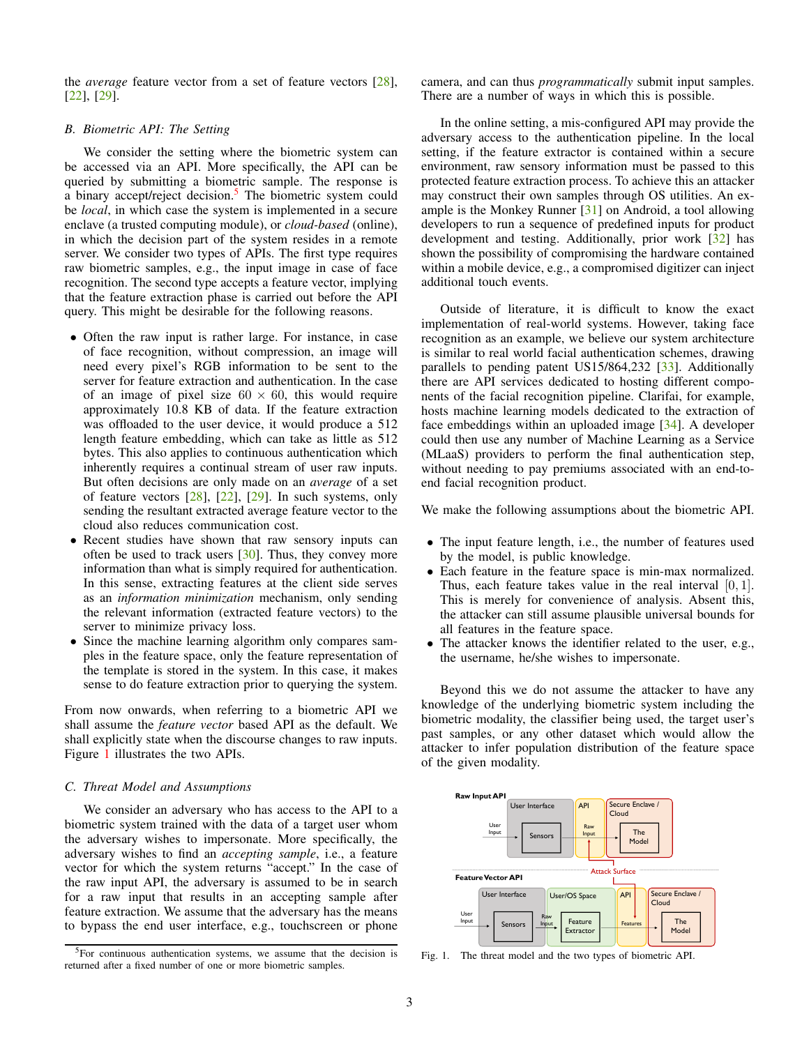the *average* feature vector from a set of feature vectors [\[28\]](#page-15-20), [\[22\]](#page-15-14), [\[29\]](#page-15-21).

# *B. Biometric API: The Setting*

We consider the setting where the biometric system can be accessed via an API. More specifically, the API can be queried by submitting a biometric sample. The response is a binary accept/reject decision.<sup>[5](#page-2-0)</sup> The biometric system could be *local*, in which case the system is implemented in a secure enclave (a trusted computing module), or *cloud-based* (online), in which the decision part of the system resides in a remote server. We consider two types of APIs. The first type requires raw biometric samples, e.g., the input image in case of face recognition. The second type accepts a feature vector, implying that the feature extraction phase is carried out before the API query. This might be desirable for the following reasons.

- Often the raw input is rather large. For instance, in case of face recognition, without compression, an image will need every pixel's RGB information to be sent to the server for feature extraction and authentication. In the case of an image of pixel size  $60 \times 60$ , this would require approximately 10.8 KB of data. If the feature extraction was offloaded to the user device, it would produce a 512 length feature embedding, which can take as little as 512 bytes. This also applies to continuous authentication which inherently requires a continual stream of user raw inputs. But often decisions are only made on an *average* of a set of feature vectors  $[28]$ ,  $[22]$ ,  $[29]$ . In such systems, only sending the resultant extracted average feature vector to the cloud also reduces communication cost.
- Recent studies have shown that raw sensory inputs can often be used to track users  $[30]$ . Thus, they convey more information than what is simply required for authentication. In this sense, extracting features at the client side serves as an *information minimization* mechanism, only sending the relevant information (extracted feature vectors) to the server to minimize privacy loss.
- Since the machine learning algorithm only compares samples in the feature space, only the feature representation of the template is stored in the system. In this case, it makes sense to do feature extraction prior to querying the system.

From now onwards, when referring to a biometric API we shall assume the *feature vector* based API as the default. We shall explicitly state when the discourse changes to raw inputs. Figure [1](#page-2-1) illustrates the two APIs.

#### *C. Threat Model and Assumptions*

We consider an adversary who has access to the API to a biometric system trained with the data of a target user whom the adversary wishes to impersonate. More specifically, the adversary wishes to find an *accepting sample*, i.e., a feature vector for which the system returns "accept." In the case of the raw input API, the adversary is assumed to be in search for a raw input that results in an accepting sample after feature extraction. We assume that the adversary has the means to bypass the end user interface, e.g., touchscreen or phone camera, and can thus *programmatically* submit input samples. There are a number of ways in which this is possible.

In the online setting, a mis-configured API may provide the adversary access to the authentication pipeline. In the local setting, if the feature extractor is contained within a secure environment, raw sensory information must be passed to this protected feature extraction process. To achieve this an attacker may construct their own samples through OS utilities. An example is the Monkey Runner [\[31\]](#page-15-23) on Android, a tool allowing developers to run a sequence of predefined inputs for product development and testing. Additionally, prior work [\[32\]](#page-15-24) has shown the possibility of compromising the hardware contained within a mobile device, e.g., a compromised digitizer can inject additional touch events.

Outside of literature, it is difficult to know the exact implementation of real-world systems. However, taking face recognition as an example, we believe our system architecture is similar to real world facial authentication schemes, drawing parallels to pending patent US15/864,232 [\[33\]](#page-16-0). Additionally there are API services dedicated to hosting different components of the facial recognition pipeline. Clarifai, for example, hosts machine learning models dedicated to the extraction of face embeddings within an uploaded image [\[34\]](#page-16-1). A developer could then use any number of Machine Learning as a Service (MLaaS) providers to perform the final authentication step, without needing to pay premiums associated with an end-toend facial recognition product.

We make the following assumptions about the biometric API.

- The input feature length, i.e., the number of features used by the model, is public knowledge.
- Each feature in the feature space is min-max normalized. Thus, each feature takes value in the real interval [0, 1]. This is merely for convenience of analysis. Absent this, the attacker can still assume plausible universal bounds for all features in the feature space.
- The attacker knows the identifier related to the user, e.g., the username, he/she wishes to impersonate.

Beyond this we do not assume the attacker to have any knowledge of the underlying biometric system including the biometric modality, the classifier being used, the target user's past samples, or any other dataset which would allow the attacker to infer population distribution of the feature space of the given modality.



<span id="page-2-1"></span>Fig. 1. The threat model and the two types of biometric API.

<span id="page-2-0"></span><sup>5</sup>For continuous authentication systems, we assume that the decision is returned after a fixed number of one or more biometric samples.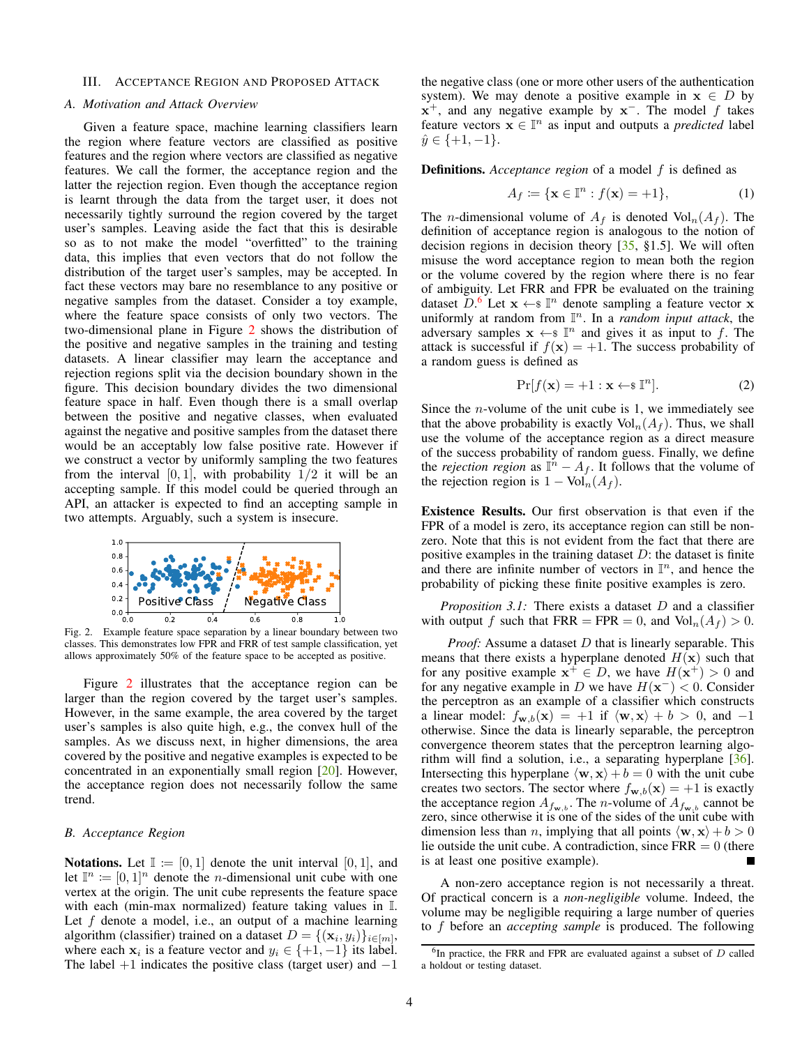## <span id="page-3-0"></span>III. ACCEPTANCE REGION AND PROPOSED ATTACK

#### *A. Motivation and Attack Overview*

Given a feature space, machine learning classifiers learn the region where feature vectors are classified as positive features and the region where vectors are classified as negative features. We call the former, the acceptance region and the latter the rejection region. Even though the acceptance region is learnt through the data from the target user, it does not necessarily tightly surround the region covered by the target user's samples. Leaving aside the fact that this is desirable so as to not make the model "overfitted" to the training data, this implies that even vectors that do not follow the distribution of the target user's samples, may be accepted. In fact these vectors may bare no resemblance to any positive or negative samples from the dataset. Consider a toy example, where the feature space consists of only two vectors. The two-dimensional plane in Figure [2](#page-3-1) shows the distribution of the positive and negative samples in the training and testing datasets. A linear classifier may learn the acceptance and rejection regions split via the decision boundary shown in the figure. This decision boundary divides the two dimensional feature space in half. Even though there is a small overlap between the positive and negative classes, when evaluated against the negative and positive samples from the dataset there would be an acceptably low false positive rate. However if we construct a vector by uniformly sampling the two features from the interval  $[0, 1]$ , with probability  $1/2$  it will be an accepting sample. If this model could be queried through an API, an attacker is expected to find an accepting sample in two attempts. Arguably, such a system is insecure.



Fig. 2. Example feature space separation by a linear boundary between two classes. This demonstrates low FPR and FRR of test sample classification, yet allows approximately 50% of the feature space to be accepted as positive.

Figure [2](#page-3-1) illustrates that the acceptance region can be larger than the region covered by the target user's samples. However, in the same example, the area covered by the target user's samples is also quite high, e.g., the convex hull of the samples. As we discuss next, in higher dimensions, the area covered by the positive and negative examples is expected to be concentrated in an exponentially small region [\[20\]](#page-15-12). However, the acceptance region does not necessarily follow the same trend.

## <span id="page-3-4"></span>*B. Acceptance Region*

**Notations.** Let  $\mathbb{I} := [0, 1]$  denote the unit interval  $[0, 1]$ , and let  $\mathbb{I}^n := [0,1]^n$  denote the *n*-dimensional unit cube with one vertex at the origin. The unit cube represents the feature space with each (min-max normalized) feature taking values in I. Let  $f$  denote a model, i.e., an output of a machine learning algorithm (classifier) trained on a dataset  $D = \{(\mathbf{x}_i, y_i)\}_{i \in [m]},$ where each  $x_i$  is a feature vector and  $y_i \in \{+1, -1\}$  its label. The label  $+1$  indicates the positive class (target user) and  $-1$ 

the negative class (one or more other users of the authentication system). We may denote a positive example in  $x \in D$  by  $x^{+}$ , and any negative example by  $x^{-}$ . The model f takes feature vectors  $\mathbf{x} \in \mathbb{I}^n$  as input and outputs a *predicted* label  $\hat{y} \in \{+1, -1\}.$ 

**Definitions.** *Acceptance region* of a model f is defined as

$$
A_f \coloneqq \{ \mathbf{x} \in \mathbb{I}^n : f(\mathbf{x}) = +1 \},\tag{1}
$$

The *n*-dimensional volume of  $A_f$  is denoted  $\text{Vol}_n(A_f)$ . The definition of acceptance region is analogous to the notion of decision regions in decision theory [\[35,](#page-16-2) §1.5]. We will often misuse the word acceptance region to mean both the region or the volume covered by the region where there is no fear of ambiguity. Let FRR and FPR be evaluated on the training dataset  $\overline{D}$ .<sup>[6](#page-3-2)</sup> Let  $\mathbf{x} \leftarrow \mathbb{s} \mathbb{I}^n$  denote sampling a feature vector  $\overline{\mathbf{x}}$ uniformly at random from  $\mathbb{I}^n$ . In a *random input attack*, the adversary samples  $x \leftarrow \mathbb{R}^n$  and gives it as input to f. The attack is successful if  $f(\mathbf{x}) = +1$ . The success probability of a random guess is defined as

<span id="page-3-3"></span>
$$
\Pr[f(\mathbf{x}) = +1 : \mathbf{x} \leftarrow \mathbf{F}^n].\tag{2}
$$

Since the *n*-volume of the unit cube is 1, we immediately see that the above probability is exactly  $\text{Vol}_n(A_f)$ . Thus, we shall use the volume of the acceptance region as a direct measure of the success probability of random guess. Finally, we define the *rejection region* as  $\mathbb{I}^n - A_f$ . It follows that the volume of the rejection region is  $1 - Vol_n(A_f)$ .

Existence Results. Our first observation is that even if the FPR of a model is zero, its acceptance region can still be nonzero. Note that this is not evident from the fact that there are positive examples in the training dataset  $D$ : the dataset is finite and there are infinite number of vectors in  $\mathbb{I}^n$ , and hence the probability of picking these finite positive examples is zero.

<span id="page-3-1"></span>*Proposition 3.1:* There exists a dataset D and a classifier with output f such that  $FRR = FPR = 0$ , and  $Vol_n(A_f) > 0$ .

*Proof:* Assume a dataset D that is linearly separable. This means that there exists a hyperplane denoted  $H(\mathbf{x})$  such that for any positive example  $x^+ \in D$ , we have  $H(x^+) > 0$  and for any negative example in D we have  $H(\mathbf{x}^-) < 0$ . Consider the perceptron as an example of a classifier which constructs a linear model:  $f_{\mathbf{w},b}(\mathbf{x}) = +1$  if  $\langle \mathbf{w}, \mathbf{x} \rangle + b > 0$ , and  $-1$ otherwise. Since the data is linearly separable, the perceptron convergence theorem states that the perceptron learning algorithm will find a solution, i.e., a separating hyperplane [\[36\]](#page-16-3). Intersecting this hyperplane  $\langle \mathbf{w}, \mathbf{x} \rangle + b = 0$  with the unit cube creates two sectors. The sector where  $f_{\mathbf{w},b}(\mathbf{x}) = +1$  is exactly the acceptance region  $A_{f_{\mathbf{w},b}}$ . The *n*-volume of  $A_{f_{\mathbf{w},b}}$  cannot be zero, since otherwise it is one of the sides of the unit cube with dimension less than *n*, implying that all points  $\langle \mathbf{w}, \mathbf{x} \rangle + b > 0$ lie outside the unit cube. A contradiction, since  $FRR = 0$  (there is at least one positive example).

A non-zero acceptance region is not necessarily a threat. Of practical concern is a *non-negligible* volume. Indeed, the volume may be negligible requiring a large number of queries to f before an *accepting sample* is produced. The following

<span id="page-3-2"></span> ${}^{6}$ In practice, the FRR and FPR are evaluated against a subset of  $D$  called a holdout or testing dataset.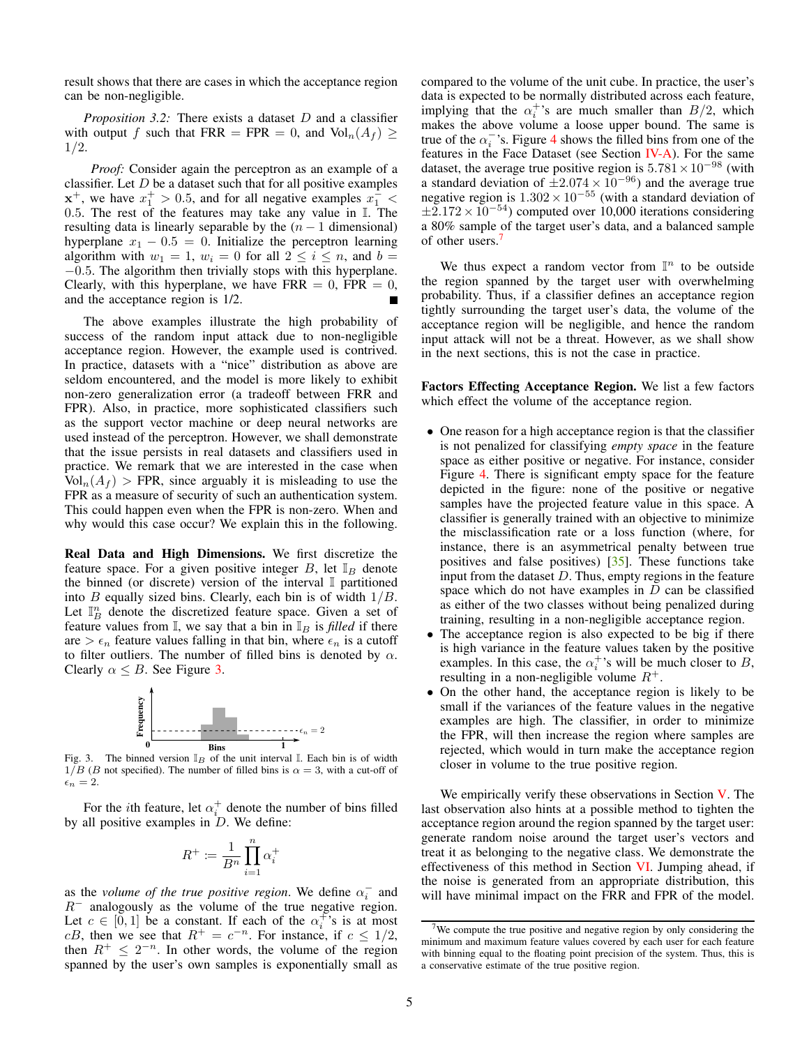result shows that there are cases in which the acceptance region can be non-negligible.

*Proposition 3.2:* There exists a dataset D and a classifier with output f such that FRR = FPR = 0, and  $\text{Vol}_n(A_f) \geq$ 1/2.

*Proof:* Consider again the perceptron as an example of a classifier. Let  $D$  be a dataset such that for all positive examples  $x^+$ , we have  $x_1^+ > 0.5$ , and for all negative examples  $x_1^-$  < 0.5. The rest of the features may take any value in I. The resulting data is linearly separable by the  $(n - 1$  dimensional) hyperplane  $x_1 - 0.5 = 0$ . Initialize the perceptron learning algorithm with  $w_1 = 1$ ,  $w_i = 0$  for all  $2 \le i \le n$ , and  $b =$ −0.5. The algorithm then trivially stops with this hyperplane. Clearly, with this hyperplane, we have FRR =  $0$ , FPR =  $0$ , and the acceptance region is 1/2.

The above examples illustrate the high probability of success of the random input attack due to non-negligible acceptance region. However, the example used is contrived. In practice, datasets with a "nice" distribution as above are seldom encountered, and the model is more likely to exhibit non-zero generalization error (a tradeoff between FRR and FPR). Also, in practice, more sophisticated classifiers such as the support vector machine or deep neural networks are used instead of the perceptron. However, we shall demonstrate that the issue persists in real datasets and classifiers used in practice. We remark that we are interested in the case when  $Vol_n(A_f)$  > FPR, since arguably it is misleading to use the FPR as a measure of security of such an authentication system. This could happen even when the FPR is non-zero. When and why would this case occur? We explain this in the following.

Real Data and High Dimensions. We first discretize the feature space. For a given positive integer B, let  $\mathbb{I}_B$  denote the binned (or discrete) version of the interval I partitioned into  $B$  equally sized bins. Clearly, each bin is of width  $1/B$ . Let  $\mathbb{I}_{B}^{n}$  denote the discretized feature space. Given a set of feature values from  $\mathbb{I}$ , we say that a bin in  $\mathbb{I}_B$  is *filled* if there are  $\epsilon_n$  feature values falling in that bin, where  $\epsilon_n$  is a cutoff to filter outliers. The number of filled bins is denoted by  $\alpha$ . Clearly  $\alpha \leq B$ . See Figure [3.](#page-4-0)



Fig. 3. The binned version  $\mathbb{I}_B$  of the unit interval  $\mathbb{I}$ . Each bin is of width  $1/B$  (B not specified). The number of filled bins is  $\alpha = 3$ , with a cut-off of  $\epsilon_n=2.$ 

For the *i*th feature, let  $\alpha_i^+$  denote the number of bins filled by all positive examples in  $D$ . We define:

$$
R^+ \coloneqq \frac{1}{B^n} \prod_{i=1}^n \alpha_i^+
$$

as the *volume of the true positive region*. We define  $\alpha_i^-$  and R<sup>−</sup> analogously as the volume of the true negative region. Let  $c \in [0, 1]$  be a constant. If each of the  $\alpha_i^{\uparrow}$ 's is at most cB, then we see that  $R^+ = c^{-n}$ . For instance, if  $c \leq 1/2$ , then  $R^+ \leq 2^{-n}$ . In other words, the volume of the region spanned by the user's own samples is exponentially small as compared to the volume of the unit cube. In practice, the user's data is expected to be normally distributed across each feature, implying that the  $\alpha_i^+$ 's are much smaller than  $B/2$ , which makes the above volume a loose upper bound. The same is true of the  $\alpha_i^{-}$ 's. Figure [4](#page-5-0) shows the filled bins from one of the features in the Face Dataset (see Section [IV-A\)](#page-5-1). For the same dataset, the average true positive region is  $5.781 \times 10^{-98}$  (with a standard deviation of  $\pm 2.074 \times 10^{-96}$ ) and the average true negative region is  $1.302 \times 10^{-55}$  (with a standard deviation of  $\pm 2.172 \times 10^{-54}$ ) computed over 10,000 iterations considering a 80% sample of the target user's data, and a balanced sample of other users.<sup>[7](#page-4-1)</sup>

We thus expect a random vector from  $\mathbb{I}^n$  to be outside the region spanned by the target user with overwhelming probability. Thus, if a classifier defines an acceptance region tightly surrounding the target user's data, the volume of the acceptance region will be negligible, and hence the random input attack will not be a threat. However, as we shall show in the next sections, this is not the case in practice.

Factors Effecting Acceptance Region. We list a few factors which effect the volume of the acceptance region.

- One reason for a high acceptance region is that the classifier is not penalized for classifying *empty space* in the feature space as either positive or negative. For instance, consider Figure [4.](#page-5-0) There is significant empty space for the feature depicted in the figure: none of the positive or negative samples have the projected feature value in this space. A classifier is generally trained with an objective to minimize the misclassification rate or a loss function (where, for instance, there is an asymmetrical penalty between true positives and false positives) [\[35\]](#page-16-2). These functions take input from the dataset  $D$ . Thus, empty regions in the feature space which do not have examples in  $D$  can be classified as either of the two classes without being penalized during training, resulting in a non-negligible acceptance region.
- The acceptance region is also expected to be big if there is high variance in the feature values taken by the positive examples. In this case, the  $\alpha_i^+$ 's will be much closer to B, resulting in a non-negligible volume  $R^+$ .
- On the other hand, the acceptance region is likely to be small if the variances of the feature values in the negative examples are high. The classifier, in order to minimize the FPR, will then increase the region where samples are rejected, which would in turn make the acceptance region closer in volume to the true positive region.

<span id="page-4-0"></span>We empirically verify these observations in Section [V.](#page-9-0) The last observation also hints at a possible method to tighten the acceptance region around the region spanned by the target user: generate random noise around the target user's vectors and treat it as belonging to the negative class. We demonstrate the effectiveness of this method in Section [VI.](#page-11-1) Jumping ahead, if the noise is generated from an appropriate distribution, this will have minimal impact on the FRR and FPR of the model.

<span id="page-4-1"></span><sup>7</sup>We compute the true positive and negative region by only considering the minimum and maximum feature values covered by each user for each feature with binning equal to the floating point precision of the system. Thus, this is a conservative estimate of the true positive region.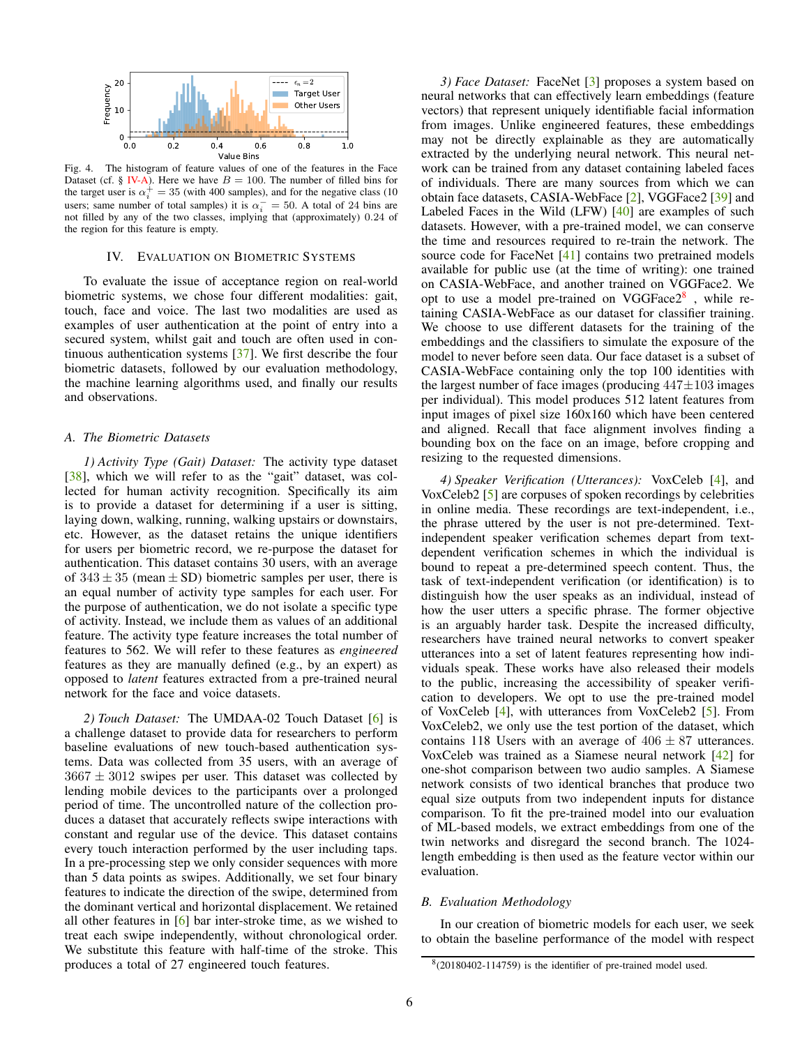

Fig. 4. The histogram of feature values of one of the features in the Face Dataset (cf. § [IV-A\)](#page-5-1). Here we have  $B = 100$ . The number of filled bins for the target user is  $\alpha_i^+ = 35$  (with 400 samples), and for the negative class (10 users; same number of total samples) it is  $\alpha_i^- = 50$ . A total of 24 bins are not filled by any of the two classes, implying that (approximately) 0.24 of the region for this feature is empty.

## IV. EVALUATION ON BIOMETRIC SYSTEMS

<span id="page-5-4"></span>To evaluate the issue of acceptance region on real-world biometric systems, we chose four different modalities: gait, touch, face and voice. The last two modalities are used as examples of user authentication at the point of entry into a secured system, whilst gait and touch are often used in continuous authentication systems [\[37\]](#page-16-4). We first describe the four biometric datasets, followed by our evaluation methodology, the machine learning algorithms used, and finally our results and observations.

# <span id="page-5-1"></span>*A. The Biometric Datasets*

*1) Activity Type (Gait) Dataset:* The activity type dataset [\[38\]](#page-16-5), which we will refer to as the "gait" dataset, was collected for human activity recognition. Specifically its aim is to provide a dataset for determining if a user is sitting, laying down, walking, running, walking upstairs or downstairs, etc. However, as the dataset retains the unique identifiers for users per biometric record, we re-purpose the dataset for authentication. This dataset contains 30 users, with an average of  $343 \pm 35$  (mean  $\pm$  SD) biometric samples per user, there is an equal number of activity type samples for each user. For the purpose of authentication, we do not isolate a specific type of activity. Instead, we include them as values of an additional feature. The activity type feature increases the total number of features to 562. We will refer to these features as *engineered* features as they are manually defined (e.g., by an expert) as opposed to *latent* features extracted from a pre-trained neural network for the face and voice datasets.

*2) Touch Dataset:* The UMDAA-02 Touch Dataset [\[6\]](#page-14-5) is a challenge dataset to provide data for researchers to perform baseline evaluations of new touch-based authentication systems. Data was collected from 35 users, with an average of  $3667 \pm 3012$  swipes per user. This dataset was collected by lending mobile devices to the participants over a prolonged period of time. The uncontrolled nature of the collection produces a dataset that accurately reflects swipe interactions with constant and regular use of the device. This dataset contains every touch interaction performed by the user including taps. In a pre-processing step we only consider sequences with more than 5 data points as swipes. Additionally, we set four binary features to indicate the direction of the swipe, determined from the dominant vertical and horizontal displacement. We retained all other features in  $[6]$  bar inter-stroke time, as we wished to treat each swipe independently, without chronological order. We substitute this feature with half-time of the stroke. This produces a total of 27 engineered touch features.

<span id="page-5-3"></span><span id="page-5-0"></span>*3) Face Dataset:* FaceNet [\[3\]](#page-14-2) proposes a system based on neural networks that can effectively learn embeddings (feature vectors) that represent uniquely identifiable facial information from images. Unlike engineered features, these embeddings may not be directly explainable as they are automatically extracted by the underlying neural network. This neural network can be trained from any dataset containing labeled faces of individuals. There are many sources from which we can obtain face datasets, CASIA-WebFace [\[2\]](#page-14-1), VGGFace2 [\[39\]](#page-16-6) and Labeled Faces in the Wild (LFW) [\[40\]](#page-16-7) are examples of such datasets. However, with a pre-trained model, we can conserve the time and resources required to re-train the network. The source code for FaceNet [\[41\]](#page-16-8) contains two pretrained models available for public use (at the time of writing): one trained on CASIA-WebFace, and another trained on VGGFace2. We opt to use a model pre-trained on VGGFace $2^8$  $2^8$ , while retaining CASIA-WebFace as our dataset for classifier training. We choose to use different datasets for the training of the embeddings and the classifiers to simulate the exposure of the model to never before seen data. Our face dataset is a subset of CASIA-WebFace containing only the top 100 identities with the largest number of face images (producing  $447\pm103$  images per individual). This model produces 512 latent features from input images of pixel size 160x160 which have been centered and aligned. Recall that face alignment involves finding a bounding box on the face on an image, before cropping and resizing to the requested dimensions.

*4) Speaker Verification (Utterances):* VoxCeleb [\[4\]](#page-14-3), and VoxCeleb2 [\[5\]](#page-14-4) are corpuses of spoken recordings by celebrities in online media. These recordings are text-independent, i.e., the phrase uttered by the user is not pre-determined. Textindependent speaker verification schemes depart from textdependent verification schemes in which the individual is bound to repeat a pre-determined speech content. Thus, the task of text-independent verification (or identification) is to distinguish how the user speaks as an individual, instead of how the user utters a specific phrase. The former objective is an arguably harder task. Despite the increased difficulty, researchers have trained neural networks to convert speaker utterances into a set of latent features representing how individuals speak. These works have also released their models to the public, increasing the accessibility of speaker verification to developers. We opt to use the pre-trained model of VoxCeleb [\[4\]](#page-14-3), with utterances from VoxCeleb2 [\[5\]](#page-14-4). From VoxCeleb2, we only use the test portion of the dataset, which contains 118 Users with an average of  $406 \pm 87$  utterances. VoxCeleb was trained as a Siamese neural network [\[42\]](#page-16-9) for one-shot comparison between two audio samples. A Siamese network consists of two identical branches that produce two equal size outputs from two independent inputs for distance comparison. To fit the pre-trained model into our evaluation of ML-based models, we extract embeddings from one of the twin networks and disregard the second branch. The 1024 length embedding is then used as the feature vector within our evaluation.

#### *B. Evaluation Methodology*

In our creation of biometric models for each user, we seek to obtain the baseline performance of the model with respect

<span id="page-5-2"></span><sup>8</sup> (20180402-114759) is the identifier of pre-trained model used.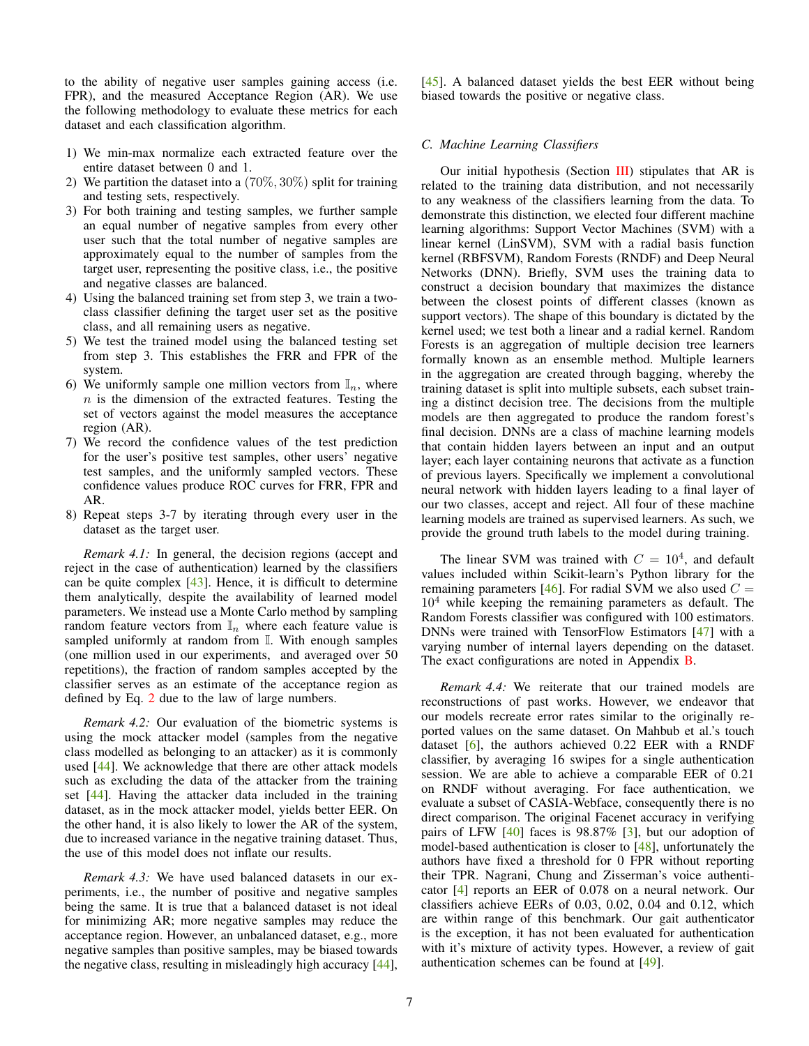to the ability of negative user samples gaining access (i.e. FPR), and the measured Acceptance Region (AR). We use the following methodology to evaluate these metrics for each dataset and each classification algorithm.

- 1) We min-max normalize each extracted feature over the entire dataset between 0 and 1.
- 2) We partition the dataset into a  $(70\%, 30\%)$  split for training and testing sets, respectively.
- 3) For both training and testing samples, we further sample an equal number of negative samples from every other user such that the total number of negative samples are approximately equal to the number of samples from the target user, representing the positive class, i.e., the positive and negative classes are balanced.
- 4) Using the balanced training set from step 3, we train a twoclass classifier defining the target user set as the positive class, and all remaining users as negative.
- 5) We test the trained model using the balanced testing set from step 3. This establishes the FRR and FPR of the system.
- 6) We uniformly sample one million vectors from  $\mathbb{I}_n$ , where  $n$  is the dimension of the extracted features. Testing the set of vectors against the model measures the acceptance region (AR).
- 7) We record the confidence values of the test prediction for the user's positive test samples, other users' negative test samples, and the uniformly sampled vectors. These confidence values produce ROC curves for FRR, FPR and AR.
- 8) Repeat steps 3-7 by iterating through every user in the dataset as the target user.

*Remark 4.1:* In general, the decision regions (accept and reject in the case of authentication) learned by the classifiers can be quite complex  $[43]$ . Hence, it is difficult to determine them analytically, despite the availability of learned model parameters. We instead use a Monte Carlo method by sampling random feature vectors from  $\mathbb{I}_n$  where each feature value is sampled uniformly at random from I. With enough samples (one million used in our experiments, and averaged over 50 repetitions), the fraction of random samples accepted by the classifier serves as an estimate of the acceptance region as defined by Eq. [2](#page-3-3) due to the law of large numbers.

*Remark 4.2:* Our evaluation of the biometric systems is using the mock attacker model (samples from the negative class modelled as belonging to an attacker) as it is commonly used [\[44\]](#page-16-11). We acknowledge that there are other attack models such as excluding the data of the attacker from the training set [\[44\]](#page-16-11). Having the attacker data included in the training dataset, as in the mock attacker model, yields better EER. On the other hand, it is also likely to lower the AR of the system, due to increased variance in the negative training dataset. Thus, the use of this model does not inflate our results.

<span id="page-6-0"></span>*Remark 4.3:* We have used balanced datasets in our experiments, i.e., the number of positive and negative samples being the same. It is true that a balanced dataset is not ideal for minimizing AR; more negative samples may reduce the acceptance region. However, an unbalanced dataset, e.g., more negative samples than positive samples, may be biased towards the negative class, resulting in misleadingly high accuracy [\[44\]](#page-16-11), [\[45\]](#page-16-12). A balanced dataset yields the best EER without being biased towards the positive or negative class.

# *C. Machine Learning Classifiers*

Our initial hypothesis (Section  $III$ ) stipulates that AR is related to the training data distribution, and not necessarily to any weakness of the classifiers learning from the data. To demonstrate this distinction, we elected four different machine learning algorithms: Support Vector Machines (SVM) with a linear kernel (LinSVM), SVM with a radial basis function kernel (RBFSVM), Random Forests (RNDF) and Deep Neural Networks (DNN). Briefly, SVM uses the training data to construct a decision boundary that maximizes the distance between the closest points of different classes (known as support vectors). The shape of this boundary is dictated by the kernel used; we test both a linear and a radial kernel. Random Forests is an aggregation of multiple decision tree learners formally known as an ensemble method. Multiple learners in the aggregation are created through bagging, whereby the training dataset is split into multiple subsets, each subset training a distinct decision tree. The decisions from the multiple models are then aggregated to produce the random forest's final decision. DNNs are a class of machine learning models that contain hidden layers between an input and an output layer; each layer containing neurons that activate as a function of previous layers. Specifically we implement a convolutional neural network with hidden layers leading to a final layer of our two classes, accept and reject. All four of these machine learning models are trained as supervised learners. As such, we provide the ground truth labels to the model during training.

The linear SVM was trained with  $C = 10<sup>4</sup>$ , and default values included within Scikit-learn's Python library for the remaining parameters [\[46\]](#page-16-13). For radial SVM we also used  $C =$  $10<sup>4</sup>$  while keeping the remaining parameters as default. The Random Forests classifier was configured with 100 estimators. DNNs were trained with TensorFlow Estimators [\[47\]](#page-16-14) with a varying number of internal layers depending on the dataset. The exact configurations are noted in Appendix **B**.

*Remark 4.4:* We reiterate that our trained models are reconstructions of past works. However, we endeavor that our models recreate error rates similar to the originally reported values on the same dataset. On Mahbub et al.'s touch dataset  $[6]$ , the authors achieved 0.22 EER with a RNDF classifier, by averaging 16 swipes for a single authentication session. We are able to achieve a comparable EER of 0.21 on RNDF without averaging. For face authentication, we evaluate a subset of CASIA-Webface, consequently there is no direct comparison. The original Facenet accuracy in verifying pairs of LFW  $[40]$  faces is 98.87%  $[3]$ , but our adoption of model-based authentication is closer to [\[48\]](#page-16-16), unfortunately the authors have fixed a threshold for 0 FPR without reporting their TPR. Nagrani, Chung and Zisserman's voice authenticator [\[4\]](#page-14-3) reports an EER of 0.078 on a neural network. Our classifiers achieve EERs of 0.03, 0.02, 0.04 and 0.12, which are within range of this benchmark. Our gait authenticator is the exception, it has not been evaluated for authentication with it's mixture of activity types. However, a review of gait authentication schemes can be found at [\[49\]](#page-16-17).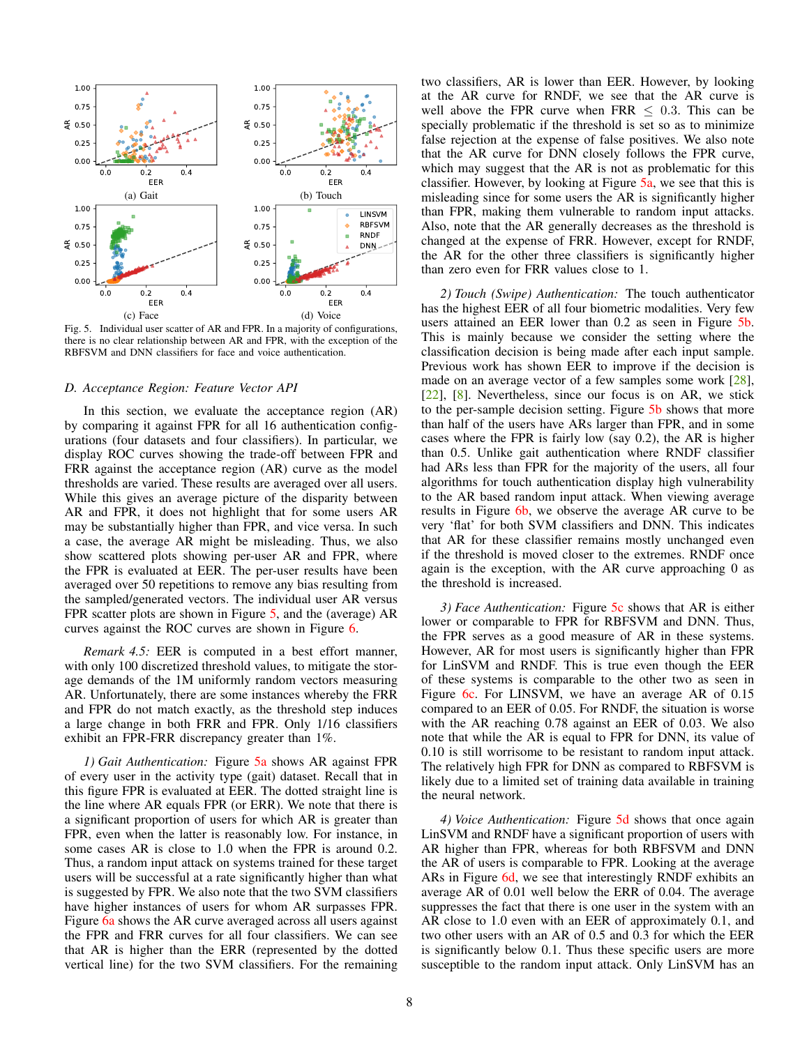<span id="page-7-3"></span><span id="page-7-1"></span>

<span id="page-7-0"></span>Fig. 5. Individual user scatter of AR and FPR. In a majority of configurations, there is no clear relationship between AR and FPR, with the exception of the RBFSVM and DNN classifiers for face and voice authentication.

#### *D. Acceptance Region: Feature Vector API*

In this section, we evaluate the acceptance region (AR) by comparing it against FPR for all 16 authentication configurations (four datasets and four classifiers). In particular, we display ROC curves showing the trade-off between FPR and FRR against the acceptance region (AR) curve as the model thresholds are varied. These results are averaged over all users. While this gives an average picture of the disparity between AR and FPR, it does not highlight that for some users AR may be substantially higher than FPR, and vice versa. In such a case, the average AR might be misleading. Thus, we also show scattered plots showing per-user AR and FPR, where the FPR is evaluated at EER. The per-user results have been averaged over 50 repetitions to remove any bias resulting from the sampled/generated vectors. The individual user AR versus FPR scatter plots are shown in Figure [5,](#page-7-0) and the (average) AR curves against the ROC curves are shown in Figure [6.](#page-8-0)

*Remark 4.5:* EER is computed in a best effort manner, with only 100 discretized threshold values, to mitigate the storage demands of the 1M uniformly random vectors measuring AR. Unfortunately, there are some instances whereby the FRR and FPR do not match exactly, as the threshold step induces a large change in both FRR and FPR. Only 1/16 classifiers exhibit an FPR-FRR discrepancy greater than 1%.

*1) Gait Authentication:* Figure [5a](#page-7-1) shows AR against FPR of every user in the activity type (gait) dataset. Recall that in this figure FPR is evaluated at EER. The dotted straight line is the line where AR equals FPR (or ERR). We note that there is a significant proportion of users for which AR is greater than FPR, even when the latter is reasonably low. For instance, in some cases AR is close to 1.0 when the FPR is around 0.2. Thus, a random input attack on systems trained for these target users will be successful at a rate significantly higher than what is suggested by FPR. We also note that the two SVM classifiers have higher instances of users for whom AR surpasses FPR. Figure [6a](#page-8-1) shows the AR curve averaged across all users against the FPR and FRR curves for all four classifiers. We can see that AR is higher than the ERR (represented by the dotted vertical line) for the two SVM classifiers. For the remaining <span id="page-7-2"></span>two classifiers, AR is lower than EER. However, by looking at the AR curve for RNDF, we see that the AR curve is well above the FPR curve when  $FRR < 0.3$ . This can be specially problematic if the threshold is set so as to minimize false rejection at the expense of false positives. We also note that the AR curve for DNN closely follows the FPR curve, which may suggest that the AR is not as problematic for this classifier. However, by looking at Figure [5a,](#page-7-1) we see that this is misleading since for some users the AR is significantly higher than FPR, making them vulnerable to random input attacks. Also, note that the AR generally decreases as the threshold is changed at the expense of FRR. However, except for RNDF, the AR for the other three classifiers is significantly higher than zero even for FRR values close to 1.

<span id="page-7-4"></span>*2) Touch (Swipe) Authentication:* The touch authenticator has the highest EER of all four biometric modalities. Very few users attained an EER lower than 0.2 as seen in Figure [5b.](#page-7-2) This is mainly because we consider the setting where the classification decision is being made after each input sample. Previous work has shown EER to improve if the decision is made on an average vector of a few samples some work [\[28\]](#page-15-20), [\[22\]](#page-15-14), [\[8\]](#page-15-0). Nevertheless, since our focus is on AR, we stick to the per-sample decision setting. Figure [5b](#page-7-2) shows that more than half of the users have ARs larger than FPR, and in some cases where the FPR is fairly low (say 0.2), the AR is higher than 0.5. Unlike gait authentication where RNDF classifier had ARs less than FPR for the majority of the users, all four algorithms for touch authentication display high vulnerability to the AR based random input attack. When viewing average results in Figure [6b,](#page-8-2) we observe the average AR curve to be very 'flat' for both SVM classifiers and DNN. This indicates that AR for these classifier remains mostly unchanged even if the threshold is moved closer to the extremes. RNDF once again is the exception, with the AR curve approaching 0 as the threshold is increased.

*3) Face Authentication:* Figure [5c](#page-7-3) shows that AR is either lower or comparable to FPR for RBFSVM and DNN. Thus, the FPR serves as a good measure of AR in these systems. However, AR for most users is significantly higher than FPR for LinSVM and RNDF. This is true even though the EER of these systems is comparable to the other two as seen in Figure [6c.](#page-8-3) For LINSVM, we have an average AR of 0.15 compared to an EER of 0.05. For RNDF, the situation is worse with the AR reaching 0.78 against an EER of 0.03. We also note that while the AR is equal to FPR for DNN, its value of 0.10 is still worrisome to be resistant to random input attack. The relatively high FPR for DNN as compared to RBFSVM is likely due to a limited set of training data available in training the neural network.

*4) Voice Authentication:* Figure [5d](#page-7-4) shows that once again LinSVM and RNDF have a significant proportion of users with AR higher than FPR, whereas for both RBFSVM and DNN the AR of users is comparable to FPR. Looking at the average ARs in Figure [6d,](#page-8-4) we see that interestingly RNDF exhibits an average AR of 0.01 well below the ERR of 0.04. The average suppresses the fact that there is one user in the system with an AR close to 1.0 even with an EER of approximately 0.1, and two other users with an AR of 0.5 and 0.3 for which the EER is significantly below 0.1. Thus these specific users are more susceptible to the random input attack. Only LinSVM has an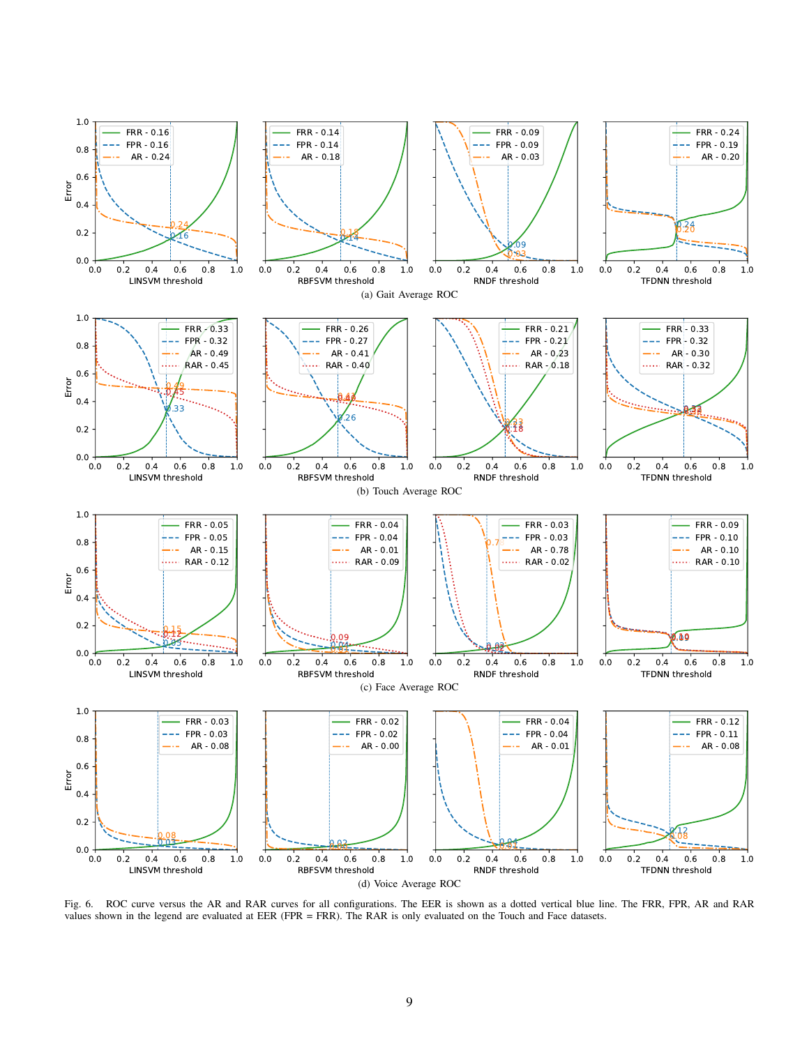<span id="page-8-3"></span><span id="page-8-2"></span><span id="page-8-1"></span>

<span id="page-8-4"></span><span id="page-8-0"></span>Fig. 6. ROC curve versus the AR and RAR curves for all configurations. The EER is shown as a dotted vertical blue line. The FRR, FPR, AR and RAR values shown in the legend are evaluated at EER (FPR = FRR). The RAR is only evaluated on the Touch and Face datasets.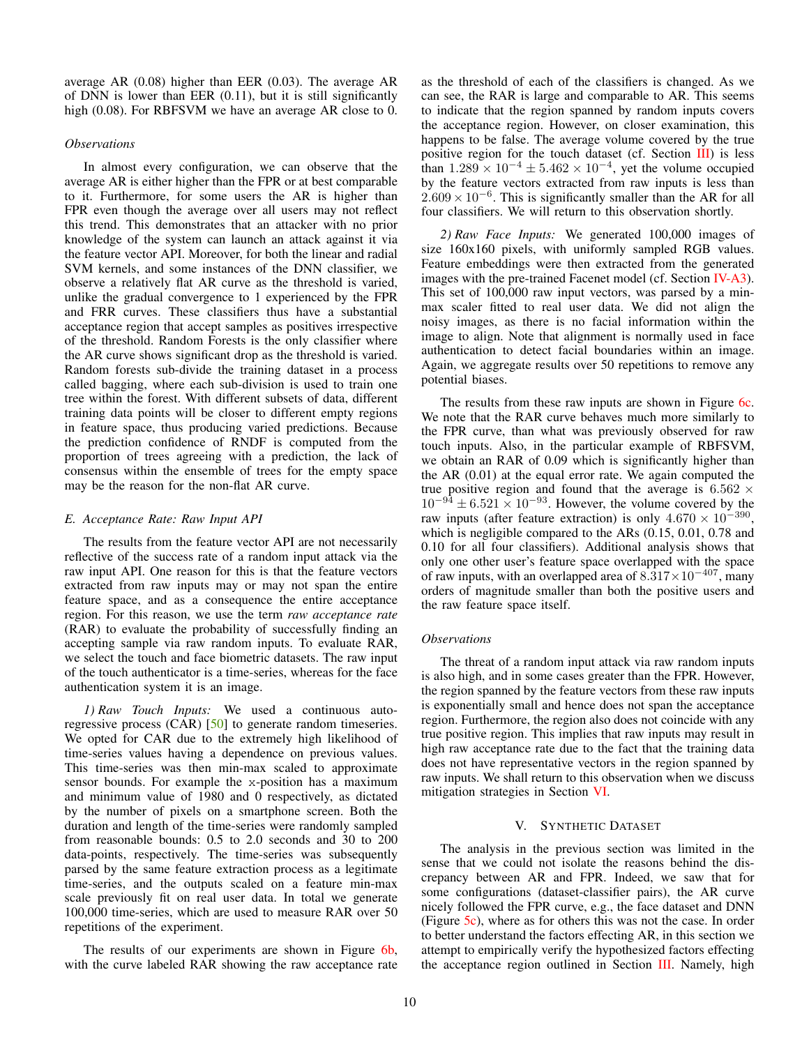average AR (0.08) higher than EER (0.03). The average AR of DNN is lower than EER (0.11), but it is still significantly high (0.08). For RBFSVM we have an average AR close to 0.

# *Observations*

In almost every configuration, we can observe that the average AR is either higher than the FPR or at best comparable to it. Furthermore, for some users the AR is higher than FPR even though the average over all users may not reflect this trend. This demonstrates that an attacker with no prior knowledge of the system can launch an attack against it via the feature vector API. Moreover, for both the linear and radial SVM kernels, and some instances of the DNN classifier, we observe a relatively flat AR curve as the threshold is varied, unlike the gradual convergence to 1 experienced by the FPR and FRR curves. These classifiers thus have a substantial acceptance region that accept samples as positives irrespective of the threshold. Random Forests is the only classifier where the AR curve shows significant drop as the threshold is varied. Random forests sub-divide the training dataset in a process called bagging, where each sub-division is used to train one tree within the forest. With different subsets of data, different training data points will be closer to different empty regions in feature space, thus producing varied predictions. Because the prediction confidence of RNDF is computed from the proportion of trees agreeing with a prediction, the lack of consensus within the ensemble of trees for the empty space may be the reason for the non-flat AR curve.

## <span id="page-9-1"></span>*E. Acceptance Rate: Raw Input API*

The results from the feature vector API are not necessarily reflective of the success rate of a random input attack via the raw input API. One reason for this is that the feature vectors extracted from raw inputs may or may not span the entire feature space, and as a consequence the entire acceptance region. For this reason, we use the term *raw acceptance rate* (RAR) to evaluate the probability of successfully finding an accepting sample via raw random inputs. To evaluate RAR, we select the touch and face biometric datasets. The raw input of the touch authenticator is a time-series, whereas for the face authentication system it is an image.

*1) Raw Touch Inputs:* We used a continuous auto-regressive process (CAR) [\[50\]](#page-16-18) to generate random timeseries. We opted for CAR due to the extremely high likelihood of time-series values having a dependence on previous values. This time-series was then min-max scaled to approximate sensor bounds. For example the x-position has a maximum and minimum value of 1980 and 0 respectively, as dictated by the number of pixels on a smartphone screen. Both the duration and length of the time-series were randomly sampled from reasonable bounds: 0.5 to 2.0 seconds and 30 to 200 data-points, respectively. The time-series was subsequently parsed by the same feature extraction process as a legitimate time-series, and the outputs scaled on a feature min-max scale previously fit on real user data. In total we generate 100,000 time-series, which are used to measure RAR over 50 repetitions of the experiment.

The results of our experiments are shown in Figure [6b,](#page-8-2) with the curve labeled RAR showing the raw acceptance rate as the threshold of each of the classifiers is changed. As we can see, the RAR is large and comparable to AR. This seems to indicate that the region spanned by random inputs covers the acceptance region. However, on closer examination, this happens to be false. The average volume covered by the true positive region for the touch dataset (cf. Section [III\)](#page-3-0) is less than  $1.289 \times 10^{-4} \pm 5.462 \times 10^{-4}$ , yet the volume occupied by the feature vectors extracted from raw inputs is less than  $2.609 \times 10^{-6}$ . This is significantly smaller than the AR for all four classifiers. We will return to this observation shortly.

*2) Raw Face Inputs:* We generated 100,000 images of size 160x160 pixels, with uniformly sampled RGB values. Feature embeddings were then extracted from the generated images with the pre-trained Facenet model (cf. Section [IV-A3\)](#page-5-3). This set of 100,000 raw input vectors, was parsed by a minmax scaler fitted to real user data. We did not align the noisy images, as there is no facial information within the image to align. Note that alignment is normally used in face authentication to detect facial boundaries within an image. Again, we aggregate results over 50 repetitions to remove any potential biases.

The results from these raw inputs are shown in Figure [6c.](#page-8-3) We note that the RAR curve behaves much more similarly to the FPR curve, than what was previously observed for raw touch inputs. Also, in the particular example of RBFSVM, we obtain an RAR of 0.09 which is significantly higher than the AR (0.01) at the equal error rate. We again computed the true positive region and found that the average is  $6.562 \times$  $10^{-94} \pm 6.521 \times 10^{-93}$ . However, the volume covered by the raw inputs (after feature extraction) is only  $4.670 \times 10^{-390}$ , which is negligible compared to the ARs  $(0.15, 0.01, 0.78, \text{and})$ 0.10 for all four classifiers). Additional analysis shows that only one other user's feature space overlapped with the space of raw inputs, with an overlapped area of  $8.317 \times 10^{-407}$ , many orders of magnitude smaller than both the positive users and the raw feature space itself.

## *Observations*

The threat of a random input attack via raw random inputs is also high, and in some cases greater than the FPR. However, the region spanned by the feature vectors from these raw inputs is exponentially small and hence does not span the acceptance region. Furthermore, the region also does not coincide with any true positive region. This implies that raw inputs may result in high raw acceptance rate due to the fact that the training data does not have representative vectors in the region spanned by raw inputs. We shall return to this observation when we discuss mitigation strategies in Section [VI.](#page-11-1)

# V. SYNTHETIC DATASET

<span id="page-9-0"></span>The analysis in the previous section was limited in the sense that we could not isolate the reasons behind the discrepancy between AR and FPR. Indeed, we saw that for some configurations (dataset-classifier pairs), the AR curve nicely followed the FPR curve, e.g., the face dataset and DNN (Figure [5c\)](#page-7-3), where as for others this was not the case. In order to better understand the factors effecting AR, in this section we attempt to empirically verify the hypothesized factors effecting the acceptance region outlined in Section [III.](#page-3-0) Namely, high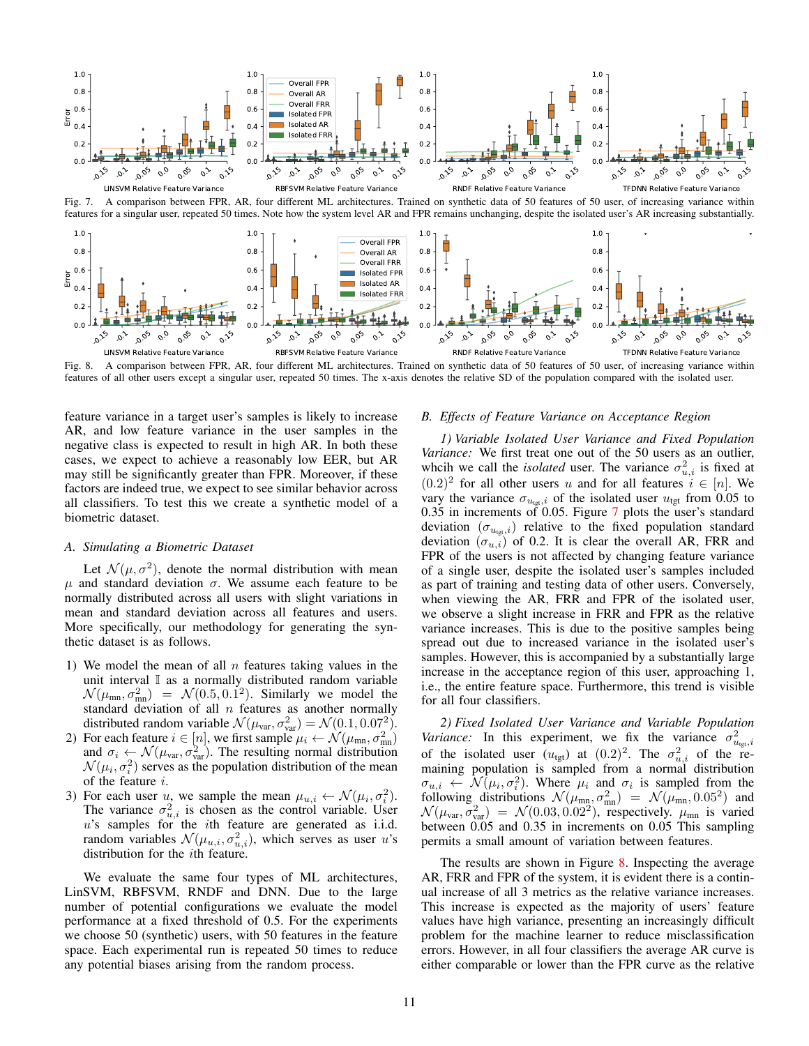

Fig. 7. A comparison between FPR, AR, four different ML architectures. Trained on synthetic data of 50 features of 50 user, of increasing variance within features for a singular user, repeated 50 times. Note how the system level AR and FPR remains unchanging, despite the isolated user's AR increasing substantially.



Fig. 8. A comparison between FPR, AR, four different ML architectures. Trained on synthetic data of 50 features of 50 user, of increasing variance within features of all other users except a singular user, repeated 50 times. The x-axis denotes the relative SD of the population compared with the isolated user.

feature variance in a target user's samples is likely to increase AR, and low feature variance in the user samples in the negative class is expected to result in high AR. In both these cases, we expect to achieve a reasonably low EER, but AR may still be significantly greater than FPR. Moreover, if these factors are indeed true, we expect to see similar behavior across all classifiers. To test this we create a synthetic model of a biometric dataset.

#### *A. Simulating a Biometric Dataset*

Let  $\mathcal{N}(\mu, \sigma^2)$ , denote the normal distribution with mean  $\mu$  and standard deviation  $\sigma$ . We assume each feature to be normally distributed across all users with slight variations in mean and standard deviation across all features and users. More specifically, our methodology for generating the synthetic dataset is as follows.

- 1) We model the mean of all  $n$  features taking values in the unit interval  $\mathbb I$  as a normally distributed random variable  $\mathcal{N}(\mu_{mn}, \sigma_{mn}^2) = \mathcal{N}(0.5, 0.1^2)$ . Similarly we model the standard deviation of all  $n$  features as another normally distributed random variable  $\mathcal{N}(\mu_{\text{var}}, \sigma_{\text{var}}^2) = \mathcal{N}(0.1, 0.07^2)$ .
- 2) For each feature  $i \in [n]$ , we first sample  $\mu_i \leftarrow \mathcal{N}(\mu_{mn}, \sigma_{mn}^2)$ and  $\sigma_i \leftarrow \mathcal{N}(\mu_{var}, \sigma_{var}^2)$ . The resulting normal distribution  $\mathcal{N}(\mu_i, \sigma_i^2)$  serves as the population distribution of the mean of the feature i.
- 3) For each user u, we sample the mean  $\mu_{u,i} \leftarrow \mathcal{N}(\mu_i, \sigma_i^2)$ . The variance  $\sigma_{u,i}^2$  is chosen as the control variable. User u's samples for the ith feature are generated as i.i.d. random variables  $\mathcal{N}(\mu_{u,i}, \sigma_{u,i}^2)$ , which serves as user u's distribution for the ith feature.

We evaluate the same four types of ML architectures, LinSVM, RBFSVM, RNDF and DNN. Due to the large number of potential configurations we evaluate the model performance at a fixed threshold of 0.5. For the experiments we choose 50 (synthetic) users, with 50 features in the feature space. Each experimental run is repeated 50 times to reduce any potential biases arising from the random process.

## <span id="page-10-2"></span><span id="page-10-1"></span><span id="page-10-0"></span>*B. Effects of Feature Variance on Acceptance Region*

*1) Variable Isolated User Variance and Fixed Population Variance:* We first treat one out of the 50 users as an outlier, whcih we call the *isolated* user. The variance  $\sigma_{u,i}^2$  is fixed at  $(0.2)^2$  for all other users u and for all features  $i \in [n]$ . We vary the variance  $\sigma_{u_{\text{tgt}}}$ , of the isolated user  $u_{\text{tgt}}$  from 0.05 to 0.35 in increments of 0.05. Figure [7](#page-10-0) plots the user's standard deviation  $(\sigma_{u_{\text{tot}},i})$  relative to the fixed population standard deviation  $(\sigma_{u,i})$  of 0.2. It is clear the overall AR, FRR and FPR of the users is not affected by changing feature variance of a single user, despite the isolated user's samples included as part of training and testing data of other users. Conversely, when viewing the AR, FRR and FPR of the isolated user, we observe a slight increase in FRR and FPR as the relative variance increases. This is due to the positive samples being spread out due to increased variance in the isolated user's samples. However, this is accompanied by a substantially large increase in the acceptance region of this user, approaching 1, i.e., the entire feature space. Furthermore, this trend is visible for all four classifiers.

*2) Fixed Isolated User Variance and Variable Population Variance:* In this experiment, we fix the variance  $\sigma_{u_{\text{tgt}},i}^2$ of the isolated user  $(u_{\text{tgt}})$  at  $(0.2)^2$ . The  $\sigma_{u,i}^2$  of the remaining population is sampled from a normal distribution  $\sigma_{u,i} \leftarrow \mathcal{N}(\mu_i, \sigma_i^2)$ . Where  $\mu_i$  and  $\sigma_i$  is sampled from the following distributions  $\mathcal{N}(\mu_{\text{mn}}, \sigma_{\text{mn}}^2) = \mathcal{N}(\mu_{\text{mn}}, 0.05^2)$  and  $\mathcal{N}(\mu_{\text{var}}, \sigma_{\text{var}}^2) = \mathcal{N}(0.03, 0.02^2)$ , respectively.  $\mu_{\text{mn}}$  is varied between 0.05 and 0.35 in increments on 0.05 This sampling permits a small amount of variation between features.

The results are shown in Figure [8.](#page-10-1) Inspecting the average AR, FRR and FPR of the system, it is evident there is a continual increase of all 3 metrics as the relative variance increases. This increase is expected as the majority of users' feature values have high variance, presenting an increasingly difficult problem for the machine learner to reduce misclassification errors. However, in all four classifiers the average AR curve is either comparable or lower than the FPR curve as the relative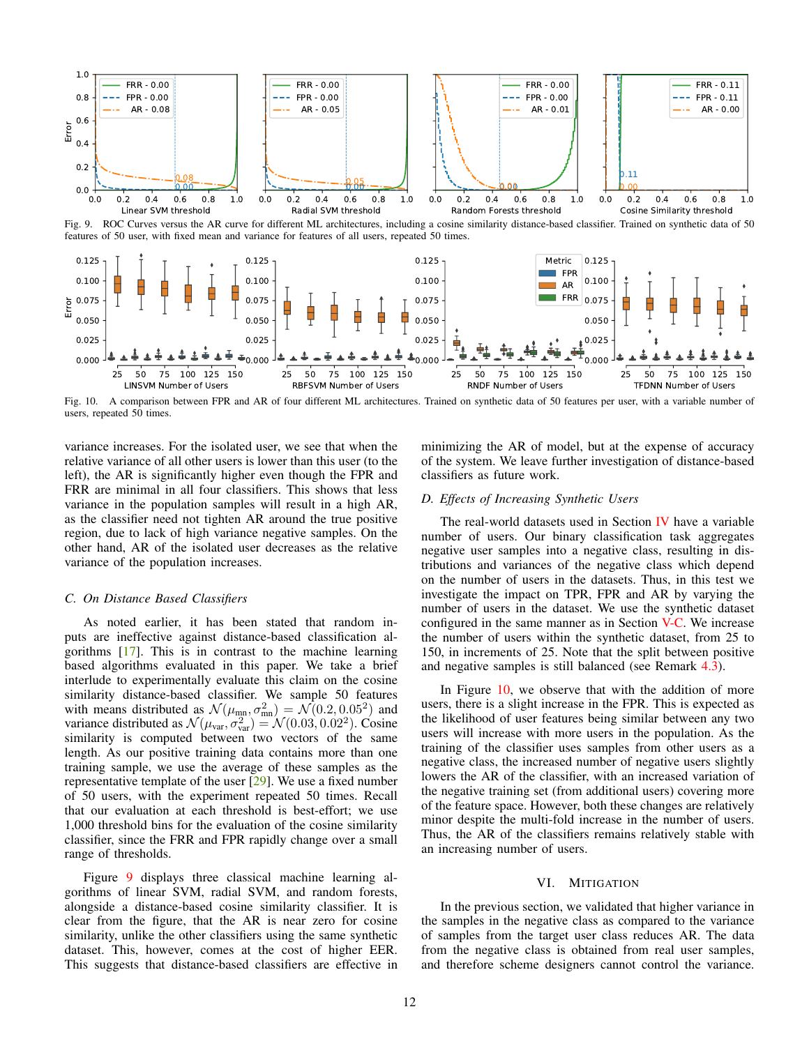



Fig. 10. A comparison between FPR and AR of four different ML architectures. Trained on synthetic data of 50 features per user, with a variable number of users, repeated 50 times.

variance increases. For the isolated user, we see that when the relative variance of all other users is lower than this user (to the left), the AR is significantly higher even though the FPR and FRR are minimal in all four classifiers. This shows that less variance in the population samples will result in a high AR, as the classifier need not tighten AR around the true positive region, due to lack of high variance negative samples. On the other hand, AR of the isolated user decreases as the relative variance of the population increases.

#### <span id="page-11-0"></span>*C. On Distance Based Classifiers*

As noted earlier, it has been stated that random inputs are ineffective against distance-based classification algorithms [\[17\]](#page-15-9). This is in contrast to the machine learning based algorithms evaluated in this paper. We take a brief interlude to experimentally evaluate this claim on the cosine similarity distance-based classifier. We sample 50 features with means distributed as  $\mathcal{N}(\mu_{mn}, \sigma_{mn}^2) = \mathcal{N}(0.2, 0.05^2)$  and variance distributed as  $\mathcal{N}(\mu_{var}, \sigma_{var}^2) = \mathcal{N}(0.03, 0.02^2)$ . Cosine similarity is computed between two vectors of the same length. As our positive training data contains more than one training sample, we use the average of these samples as the representative template of the user [\[29\]](#page-15-21). We use a fixed number of 50 users, with the experiment repeated 50 times. Recall that our evaluation at each threshold is best-effort; we use 1,000 threshold bins for the evaluation of the cosine similarity classifier, since the FRR and FPR rapidly change over a small range of thresholds.

Figure [9](#page-11-2) displays three classical machine learning algorithms of linear SVM, radial SVM, and random forests, alongside a distance-based cosine similarity classifier. It is clear from the figure, that the AR is near zero for cosine similarity, unlike the other classifiers using the same synthetic dataset. This, however, comes at the cost of higher EER. This suggests that distance-based classifiers are effective in <span id="page-11-3"></span><span id="page-11-2"></span>minimizing the AR of model, but at the expense of accuracy of the system. We leave further investigation of distance-based classifiers as future work.

# *D. Effects of Increasing Synthetic Users*

The real-world datasets used in Section [IV](#page-5-4) have a variable number of users. Our binary classification task aggregates negative user samples into a negative class, resulting in distributions and variances of the negative class which depend on the number of users in the datasets. Thus, in this test we investigate the impact on TPR, FPR and AR by varying the number of users in the dataset. We use the synthetic dataset configured in the same manner as in Section [V-C.](#page-11-0) We increase the number of users within the synthetic dataset, from 25 to 150, in increments of 25. Note that the split between positive and negative samples is still balanced (see Remark [4.3\)](#page-6-0).

In Figure [10,](#page-11-3) we observe that with the addition of more users, there is a slight increase in the FPR. This is expected as the likelihood of user features being similar between any two users will increase with more users in the population. As the training of the classifier uses samples from other users as a negative class, the increased number of negative users slightly lowers the AR of the classifier, with an increased variation of the negative training set (from additional users) covering more of the feature space. However, both these changes are relatively minor despite the multi-fold increase in the number of users. Thus, the AR of the classifiers remains relatively stable with an increasing number of users.

#### VI. MITIGATION

<span id="page-11-1"></span>In the previous section, we validated that higher variance in the samples in the negative class as compared to the variance of samples from the target user class reduces AR. The data from the negative class is obtained from real user samples, and therefore scheme designers cannot control the variance.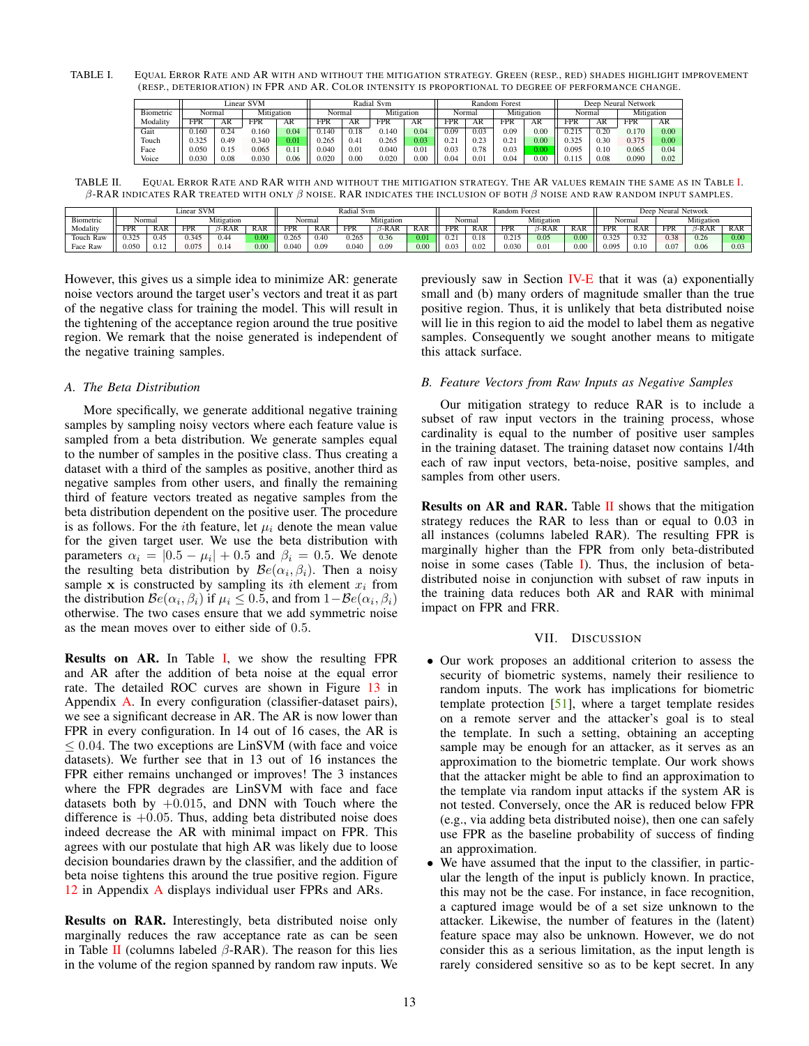<span id="page-12-1"></span>TABLE I. EQUAL ERROR RATE AND AR WITH AND WITHOUT THE MITIGATION STRATEGY. GREEN (RESP., RED) SHADES HIGHLIGHT IMPROVEMENT (RESP., DETERIORATION) IN FPR AND AR. COLOR INTENSITY IS PROPORTIONAL TO DEGREE OF PERFORMANCE CHANGE.

|           | Linear SVM |      |            |           | Radial Svm |      |            |      |        | Random | Forest     |      | Neural Network<br>Deep |      |            |      |  |
|-----------|------------|------|------------|-----------|------------|------|------------|------|--------|--------|------------|------|------------------------|------|------------|------|--|
| Biometric | Normal     |      | Mitigation |           | Normal     |      | Mitigation |      | Normal |        | Mitigation |      | Normal                 |      | Mitigation |      |  |
| Modality  | <b>FPR</b> | AR   | <b>FPR</b> | AR        | FPR        | AR   | <b>FPR</b> | AR   | FPR    | AR     | <b>FPR</b> | AR   | <b>FPR</b>             | AR   | <b>FPR</b> | AR   |  |
| Gait      | 0.160      | 0.24 | 1.160      | 0.04      | 0.140      | 0.18 | 0.140      | 0.04 | 0.09   | 0.03   | 0.09       | 0.00 | 0.215                  | 0.20 | 0.170      | 0.00 |  |
| Touch     | 0.325      | 0.49 | 0.340      | $_{0.01}$ | 0.265      | 0.41 | 0.265      | 0.03 | 0.21   | 0.23   | 0.21       | 0.00 | 0.325                  | 0.30 | 0.375      | 0.00 |  |
| Face      | 0.050      | 0.15 | 0.065      | 0.11      | 0.040      | 0.01 | 0.040      | 0.0  | 0.03   | 0.78   | 0.03       |      | 0.095                  | 0.10 | 0.065      | 0.04 |  |
| Voice     | 0.030      | 0.08 | 0.030      | 0.06      | 0.020      | 0.00 | 0.020      | 0.00 | 0.04   | 0.0    | 0.04       | 0.00 |                        | 0.08 | 0.090      | 0.02 |  |

<span id="page-12-2"></span>TABLE I[I.](#page-12-1) EQUAL ERROR RATE AND RAR WITH AND WITHOUT THE MITIGATION STRATEGY. THE AR VALUES REMAIN THE SAME AS IN TABLE I. β-RAR INDICATES RAR TREATED WITH ONLY β NOISE. RAR INDICATES THE INCLUSION OF BOTH β NOISE AND RAW RANDOM INPUT SAMPLES.

|           | <b>SVM</b><br>∟ınear |            |            |            |            | Radial Svm |            |            |      |            | Random Forest |            |            |       |            | Deep Neural Network |            |      |         |      |
|-----------|----------------------|------------|------------|------------|------------|------------|------------|------------|------|------------|---------------|------------|------------|-------|------------|---------------------|------------|------|---------|------|
| Biometric | Normal               |            | Mitigation |            | Normal     |            | Mitigation |            |      | Normal     |               | Mitigation |            |       | Normal     |                     | Mitigation |      |         |      |
| Modality  | <b>FPR</b>           | <b>RAR</b> | <b>FPR</b> | <b>RAR</b> | <b>RAR</b> | <b>FPR</b> | <b>RAR</b> | <b>FPR</b> | -RAR | <b>RAR</b> | FPR           | <b>RAR</b> | <b>FPR</b> | 3-RAR | <b>RAR</b> | FPR                 | <b>RAR</b> | FPR  | $3-RAR$ |      |
| Touch Raw | 0.325                | 0.45       | 0.345      | 0.44       | 0.00       | 0.265      | 0.40       | 0.265      | 0.36 | 0.01       | 0.21          |            | 0.215      | 0.05  | 0.00       | 0.325               | 0.32       | 0.38 | 0.26    | 0.00 |
| Face Raw  | 0.050                | 0.12       | 0.075      | 0.14       | 0.00       | 0.040      | 0.09       | 0.040      | 0.09 | 0.00       | 0.03          | 0.02       | 0.030      | 0.01  | 0.00       | 0.095               | 0.10       | 0.07 | 0.06    | 0.03 |

However, this gives us a simple idea to minimize AR: generate noise vectors around the target user's vectors and treat it as part of the negative class for training the model. This will result in the tightening of the acceptance region around the true positive region. We remark that the noise generated is independent of the negative training samples.

# *A. The Beta Distribution*

More specifically, we generate additional negative training samples by sampling noisy vectors where each feature value is sampled from a beta distribution. We generate samples equal to the number of samples in the positive class. Thus creating a dataset with a third of the samples as positive, another third as negative samples from other users, and finally the remaining third of feature vectors treated as negative samples from the beta distribution dependent on the positive user. The procedure is as follows. For the *i*th feature, let  $\mu_i$  denote the mean value for the given target user. We use the beta distribution with parameters  $\alpha_i = |0.5 - \mu_i| + 0.5$  and  $\beta_i = 0.5$ . We denote the resulting beta distribution by  $\mathcal{B}e(\alpha_i, \beta_i)$ . Then a noisy sample x is constructed by sampling its *i*th element  $x_i$  from the distribution  $\mathcal{B}e(\alpha_i, \beta_i)$  if  $\mu_i \leq 0.5$ , and from  $1-\mathcal{B}e(\alpha_i, \beta_i)$ otherwise. The two cases ensure that we add symmetric noise as the mean moves over to either side of 0.5.

Results on AR. In Table [I,](#page-12-1) we show the resulting FPR and AR after the addition of beta noise at the equal error rate. The detailed ROC curves are shown in Figure [13](#page-17-0) in Appendix [A.](#page-16-19) In every configuration (classifier-dataset pairs), we see a significant decrease in AR. The AR is now lower than FPR in every configuration. In 14 out of 16 cases, the AR is  $\leq 0.04$ . The two exceptions are LinSVM (with face and voice datasets). We further see that in 13 out of 16 instances the FPR either remains unchanged or improves! The 3 instances where the FPR degrades are LinSVM with face and face datasets both by  $+0.015$ , and DNN with Touch where the difference is  $+0.05$ . Thus, adding beta distributed noise does indeed decrease the AR with minimal impact on FPR. This agrees with our postulate that high AR was likely due to loose decision boundaries drawn by the classifier, and the addition of beta noise tightens this around the true positive region. Figure [12](#page-17-1) in Appendix [A](#page-16-19) displays individual user FPRs and ARs.

Results on RAR. Interestingly, beta distributed noise only marginally reduces the raw acceptance rate as can be seen in Table [II](#page-12-2) (columns labeled  $\beta$ -RAR). The reason for this lies in the volume of the region spanned by random raw inputs. We previously saw in Section [IV-E](#page-9-1) that it was (a) exponentially small and (b) many orders of magnitude smaller than the true positive region. Thus, it is unlikely that beta distributed noise will lie in this region to aid the model to label them as negative samples. Consequently we sought another means to mitigate this attack surface.

# *B. Feature Vectors from Raw Inputs as Negative Samples*

Our mitigation strategy to reduce RAR is to include a subset of raw input vectors in the training process, whose cardinality is equal to the number of positive user samples in the training dataset. The training dataset now contains 1/4th each of raw input vectors, beta-noise, positive samples, and samples from other users.

Results on AR and RAR. Table [II](#page-12-2) shows that the mitigation strategy reduces the RAR to less than or equal to 0.03 in all instances (columns labeled RAR). The resulting FPR is marginally higher than the FPR from only beta-distributed noise in some cases (Table [I\)](#page-12-1). Thus, the inclusion of betadistributed noise in conjunction with subset of raw inputs in the training data reduces both AR and RAR with minimal impact on FPR and FRR.

# VII. DISCUSSION

- <span id="page-12-0"></span>• Our work proposes an additional criterion to assess the security of biometric systems, namely their resilience to random inputs. The work has implications for biometric template protection [\[51\]](#page-16-20), where a target template resides on a remote server and the attacker's goal is to steal the template. In such a setting, obtaining an accepting sample may be enough for an attacker, as it serves as an approximation to the biometric template. Our work shows that the attacker might be able to find an approximation to the template via random input attacks if the system AR is not tested. Conversely, once the AR is reduced below FPR (e.g., via adding beta distributed noise), then one can safely use FPR as the baseline probability of success of finding an approximation.
- We have assumed that the input to the classifier, in particular the length of the input is publicly known. In practice, this may not be the case. For instance, in face recognition, a captured image would be of a set size unknown to the attacker. Likewise, the number of features in the (latent) feature space may also be unknown. However, we do not consider this as a serious limitation, as the input length is rarely considered sensitive so as to be kept secret. In any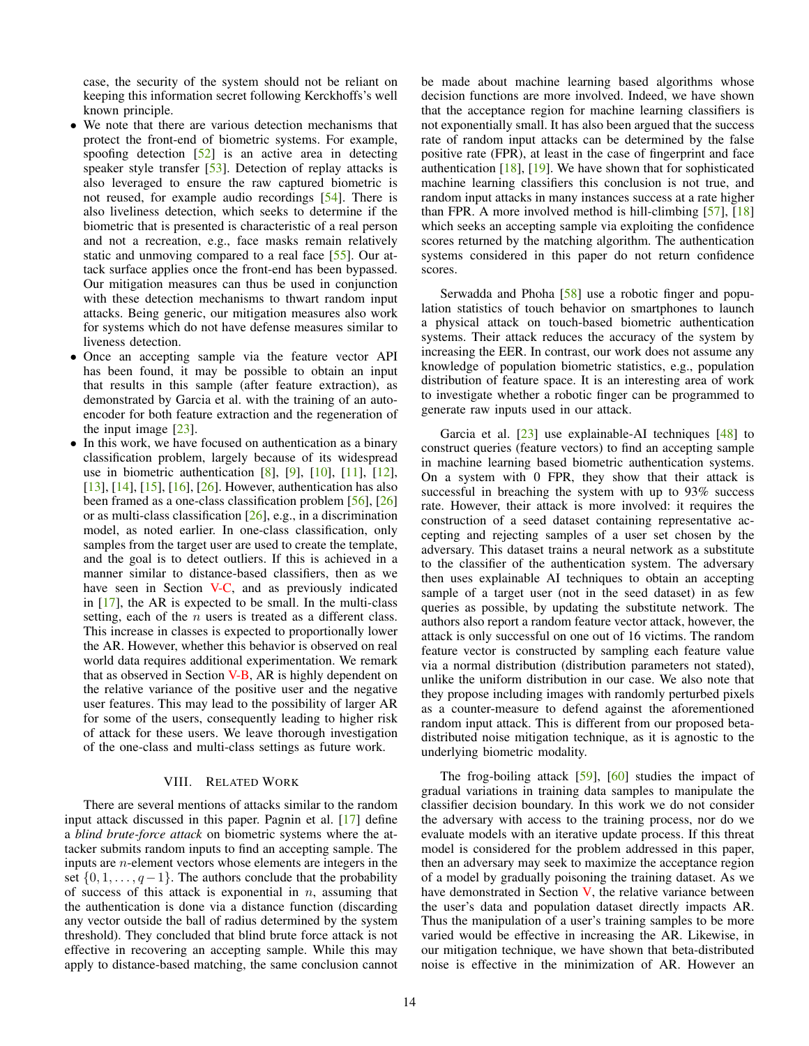case, the security of the system should not be reliant on keeping this information secret following Kerckhoffs's well known principle.

- We note that there are various detection mechanisms that protect the front-end of biometric systems. For example, spoofing detection  $\lceil 52 \rceil$  is an active area in detecting speaker style transfer [\[53\]](#page-16-22). Detection of replay attacks is also leveraged to ensure the raw captured biometric is not reused, for example audio recordings [\[54\]](#page-16-23). There is also liveliness detection, which seeks to determine if the biometric that is presented is characteristic of a real person and not a recreation, e.g., face masks remain relatively static and unmoving compared to a real face [\[55\]](#page-16-24). Our attack surface applies once the front-end has been bypassed. Our mitigation measures can thus be used in conjunction with these detection mechanisms to thwart random input attacks. Being generic, our mitigation measures also work for systems which do not have defense measures similar to liveness detection.
- Once an accepting sample via the feature vector API has been found, it may be possible to obtain an input that results in this sample (after feature extraction), as demonstrated by Garcia et al. with the training of an autoencoder for both feature extraction and the regeneration of the input image  $[23]$ .
- In this work, we have focused on authentication as a binary classification problem, largely because of its widespread use in biometric authentication  $[8]$ ,  $[9]$ ,  $[10]$ ,  $[11]$ ,  $[12]$ , [\[13\]](#page-15-5), [\[14\]](#page-15-6), [\[15\]](#page-15-7), [\[16\]](#page-15-8), [\[26\]](#page-15-19). However, authentication has also been framed as a one-class classification problem [\[56\]](#page-16-25), [\[26\]](#page-15-19) or as multi-class classification [\[26\]](#page-15-19), e.g., in a discrimination model, as noted earlier. In one-class classification, only samples from the target user are used to create the template, and the goal is to detect outliers. If this is achieved in a manner similar to distance-based classifiers, then as we have seen in Section [V-C,](#page-11-0) and as previously indicated in  $[17]$ , the AR is expected to be small. In the multi-class setting, each of the  $n$  users is treated as a different class. This increase in classes is expected to proportionally lower the AR. However, whether this behavior is observed on real world data requires additional experimentation. We remark that as observed in Section  $V-B$ , AR is highly dependent on the relative variance of the positive user and the negative user features. This may lead to the possibility of larger AR for some of the users, consequently leading to higher risk of attack for these users. We leave thorough investigation of the one-class and multi-class settings as future work.

# VIII. RELATED WORK

<span id="page-13-0"></span>There are several mentions of attacks similar to the random input attack discussed in this paper. Pagnin et al. [\[17\]](#page-15-9) define a *blind brute-force attack* on biometric systems where the attacker submits random inputs to find an accepting sample. The inputs are n-element vectors whose elements are integers in the set  $\{0, 1, \ldots, q-1\}$ . The authors conclude that the probability of success of this attack is exponential in  $n$ , assuming that the authentication is done via a distance function (discarding any vector outside the ball of radius determined by the system threshold). They concluded that blind brute force attack is not effective in recovering an accepting sample. While this may apply to distance-based matching, the same conclusion cannot be made about machine learning based algorithms whose decision functions are more involved. Indeed, we have shown that the acceptance region for machine learning classifiers is not exponentially small. It has also been argued that the success rate of random input attacks can be determined by the false positive rate (FPR), at least in the case of fingerprint and face authentication [\[18\]](#page-15-10), [\[19\]](#page-15-11). We have shown that for sophisticated machine learning classifiers this conclusion is not true, and random input attacks in many instances success at a rate higher than FPR. A more involved method is hill-climbing [\[57\]](#page-16-26), [\[18\]](#page-15-10) which seeks an accepting sample via exploiting the confidence scores returned by the matching algorithm. The authentication systems considered in this paper do not return confidence scores.

Serwadda and Phoha [\[58\]](#page-16-27) use a robotic finger and population statistics of touch behavior on smartphones to launch a physical attack on touch-based biometric authentication systems. Their attack reduces the accuracy of the system by increasing the EER. In contrast, our work does not assume any knowledge of population biometric statistics, e.g., population distribution of feature space. It is an interesting area of work to investigate whether a robotic finger can be programmed to generate raw inputs used in our attack.

Garcia et al.  $[23]$  use explainable-AI techniques  $[48]$  to construct queries (feature vectors) to find an accepting sample in machine learning based biometric authentication systems. On a system with 0 FPR, they show that their attack is successful in breaching the system with up to 93% success rate. However, their attack is more involved: it requires the construction of a seed dataset containing representative accepting and rejecting samples of a user set chosen by the adversary. This dataset trains a neural network as a substitute to the classifier of the authentication system. The adversary then uses explainable AI techniques to obtain an accepting sample of a target user (not in the seed dataset) in as few queries as possible, by updating the substitute network. The authors also report a random feature vector attack, however, the attack is only successful on one out of 16 victims. The random feature vector is constructed by sampling each feature value via a normal distribution (distribution parameters not stated), unlike the uniform distribution in our case. We also note that they propose including images with randomly perturbed pixels as a counter-measure to defend against the aforementioned random input attack. This is different from our proposed betadistributed noise mitigation technique, as it is agnostic to the underlying biometric modality.

The frog-boiling attack  $[59]$ ,  $[60]$  studies the impact of gradual variations in training data samples to manipulate the classifier decision boundary. In this work we do not consider the adversary with access to the training process, nor do we evaluate models with an iterative update process. If this threat model is considered for the problem addressed in this paper, then an adversary may seek to maximize the acceptance region of a model by gradually poisoning the training dataset. As we have demonstrated in Section  $V$ , the relative variance between the user's data and population dataset directly impacts AR. Thus the manipulation of a user's training samples to be more varied would be effective in increasing the AR. Likewise, in our mitigation technique, we have shown that beta-distributed noise is effective in the minimization of AR. However an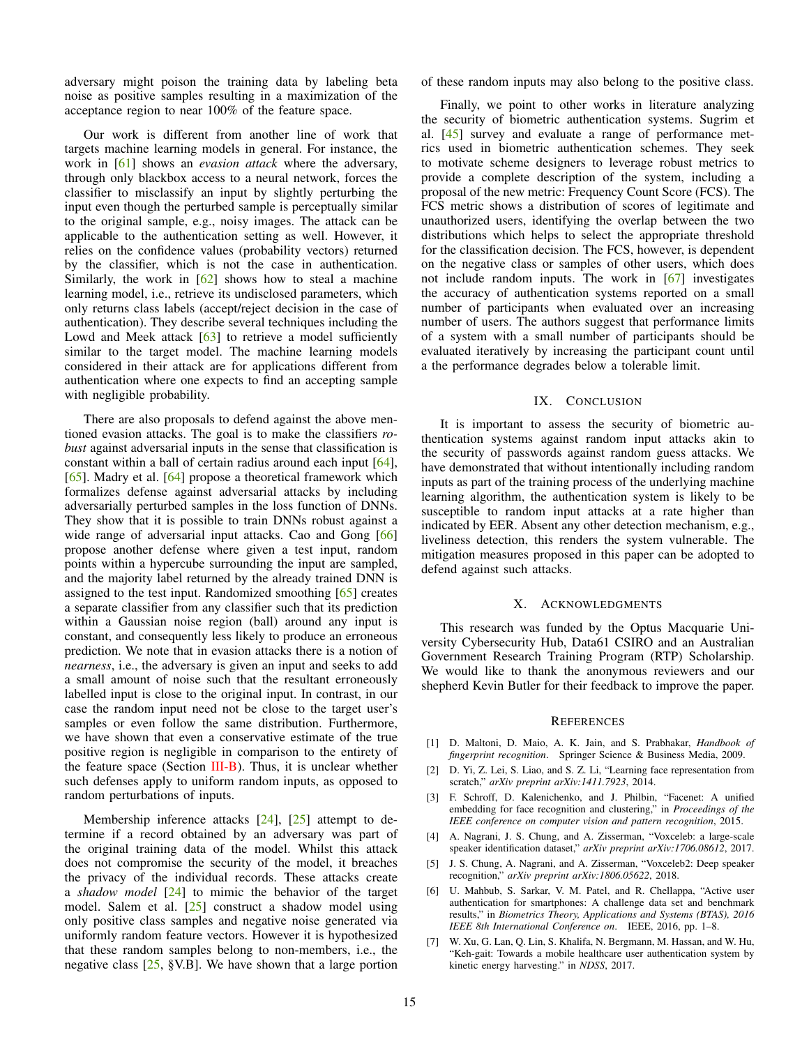adversary might poison the training data by labeling beta noise as positive samples resulting in a maximization of the acceptance region to near 100% of the feature space.

Our work is different from another line of work that targets machine learning models in general. For instance, the work in [\[61\]](#page-16-30) shows an *evasion attack* where the adversary, through only blackbox access to a neural network, forces the classifier to misclassify an input by slightly perturbing the input even though the perturbed sample is perceptually similar to the original sample, e.g., noisy images. The attack can be applicable to the authentication setting as well. However, it relies on the confidence values (probability vectors) returned by the classifier, which is not the case in authentication. Similarly, the work in  $[62]$  shows how to steal a machine learning model, i.e., retrieve its undisclosed parameters, which only returns class labels (accept/reject decision in the case of authentication). They describe several techniques including the Lowd and Meek attack  $\lceil 63 \rceil$  to retrieve a model sufficiently similar to the target model. The machine learning models considered in their attack are for applications different from authentication where one expects to find an accepting sample with negligible probability.

There are also proposals to defend against the above mentioned evasion attacks. The goal is to make the classifiers *robust* against adversarial inputs in the sense that classification is constant within a ball of certain radius around each input [\[64\]](#page-16-33), [\[65\]](#page-16-34). Madry et al. [\[64\]](#page-16-33) propose a theoretical framework which formalizes defense against adversarial attacks by including adversarially perturbed samples in the loss function of DNNs. They show that it is possible to train DNNs robust against a wide range of adversarial input attacks. Cao and Gong [\[66\]](#page-16-35) propose another defense where given a test input, random points within a hypercube surrounding the input are sampled, and the majority label returned by the already trained DNN is assigned to the test input. Randomized smoothing [\[65\]](#page-16-34) creates a separate classifier from any classifier such that its prediction within a Gaussian noise region (ball) around any input is constant, and consequently less likely to produce an erroneous prediction. We note that in evasion attacks there is a notion of *nearness*, i.e., the adversary is given an input and seeks to add a small amount of noise such that the resultant erroneously labelled input is close to the original input. In contrast, in our case the random input need not be close to the target user's samples or even follow the same distribution. Furthermore, we have shown that even a conservative estimate of the true positive region is negligible in comparison to the entirety of the feature space (Section  $III-B$ ). Thus, it is unclear whether such defenses apply to uniform random inputs, as opposed to random perturbations of inputs.

Membership inference attacks  $[24]$ ,  $[25]$  attempt to determine if a record obtained by an adversary was part of the original training data of the model. Whilst this attack does not compromise the security of the model, it breaches the privacy of the individual records. These attacks create a *shadow model* [\[24\]](#page-15-16) to mimic the behavior of the target model. Salem et al. [\[25\]](#page-15-17) construct a shadow model using only positive class samples and negative noise generated via uniformly random feature vectors. However it is hypothesized that these random samples belong to non-members, i.e., the negative class  $[25, \, \frac{1}{5}V. B]$  $[25, \, \frac{1}{5}V. B]$ . We have shown that a large portion of these random inputs may also belong to the positive class.

Finally, we point to other works in literature analyzing the security of biometric authentication systems. Sugrim et al. [\[45\]](#page-16-12) survey and evaluate a range of performance metrics used in biometric authentication schemes. They seek to motivate scheme designers to leverage robust metrics to provide a complete description of the system, including a proposal of the new metric: Frequency Count Score (FCS). The FCS metric shows a distribution of scores of legitimate and unauthorized users, identifying the overlap between the two distributions which helps to select the appropriate threshold for the classification decision. The FCS, however, is dependent on the negative class or samples of other users, which does not include random inputs. The work in [\[67\]](#page-16-36) investigates the accuracy of authentication systems reported on a small number of participants when evaluated over an increasing number of users. The authors suggest that performance limits of a system with a small number of participants should be evaluated iteratively by increasing the participant count until a the performance degrades below a tolerable limit.

# IX. CONCLUSION

It is important to assess the security of biometric authentication systems against random input attacks akin to the security of passwords against random guess attacks. We have demonstrated that without intentionally including random inputs as part of the training process of the underlying machine learning algorithm, the authentication system is likely to be susceptible to random input attacks at a rate higher than indicated by EER. Absent any other detection mechanism, e.g., liveliness detection, this renders the system vulnerable. The mitigation measures proposed in this paper can be adopted to defend against such attacks.

## X. ACKNOWLEDGMENTS

This research was funded by the Optus Macquarie University Cybersecurity Hub, Data61 CSIRO and an Australian Government Research Training Program (RTP) Scholarship. We would like to thank the anonymous reviewers and our shepherd Kevin Butler for their feedback to improve the paper.

#### **REFERENCES**

- <span id="page-14-0"></span>[1] D. Maltoni, D. Maio, A. K. Jain, and S. Prabhakar, *Handbook of fingerprint recognition*. Springer Science & Business Media, 2009.
- <span id="page-14-1"></span>[2] D. Yi, Z. Lei, S. Liao, and S. Z. Li, "Learning face representation from scratch," *arXiv preprint arXiv:1411.7923*, 2014.
- <span id="page-14-2"></span>[3] F. Schroff, D. Kalenichenko, and J. Philbin, "Facenet: A unified embedding for face recognition and clustering," in *Proceedings of the IEEE conference on computer vision and pattern recognition*, 2015.
- <span id="page-14-3"></span>[4] A. Nagrani, J. S. Chung, and A. Zisserman, "Voxceleb: a large-scale speaker identification dataset," *arXiv preprint arXiv:1706.08612*, 2017.
- <span id="page-14-4"></span>[5] J. S. Chung, A. Nagrani, and A. Zisserman, "Voxceleb2: Deep speaker recognition," *arXiv preprint arXiv:1806.05622*, 2018.
- <span id="page-14-5"></span>[6] U. Mahbub, S. Sarkar, V. M. Patel, and R. Chellappa, "Active user authentication for smartphones: A challenge data set and benchmark results," in *Biometrics Theory, Applications and Systems (BTAS), 2016 IEEE 8th International Conference on*. IEEE, 2016, pp. 1–8.
- <span id="page-14-6"></span>[7] W. Xu, G. Lan, Q. Lin, S. Khalifa, N. Bergmann, M. Hassan, and W. Hu, "Keh-gait: Towards a mobile healthcare user authentication system by kinetic energy harvesting." in *NDSS*, 2017.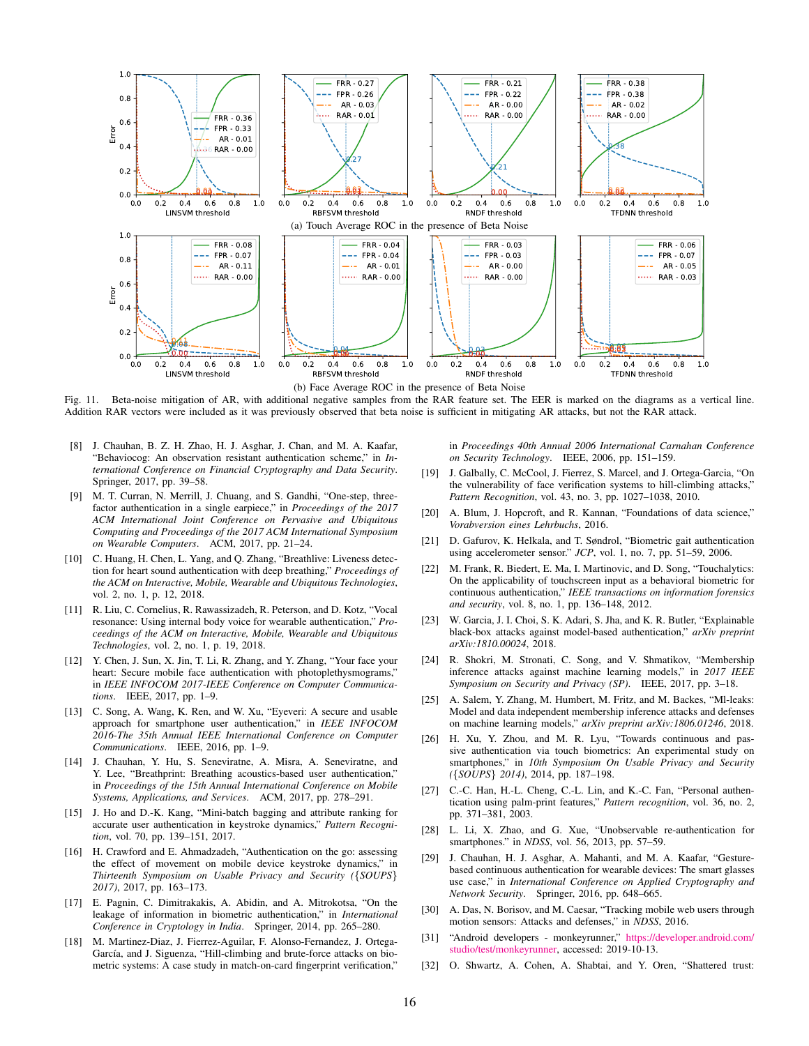

<span id="page-15-25"></span>Fig. 11. Beta-noise mitigation of AR, with additional negative samples from the RAR feature set. The EER is marked on the diagrams as a vertical line. Addition RAR vectors were included as it was previously observed that beta noise is sufficient in mitigating AR attacks, but not the RAR attack.

- <span id="page-15-0"></span>[8] J. Chauhan, B. Z. H. Zhao, H. J. Asghar, J. Chan, and M. A. Kaafar, "Behaviocog: An observation resistant authentication scheme," in *International Conference on Financial Cryptography and Data Security*. Springer, 2017, pp. 39–58.
- <span id="page-15-1"></span>[9] M. T. Curran, N. Merrill, J. Chuang, and S. Gandhi, "One-step, threefactor authentication in a single earpiece," in *Proceedings of the 2017 ACM International Joint Conference on Pervasive and Ubiquitous Computing and Proceedings of the 2017 ACM International Symposium on Wearable Computers*. ACM, 2017, pp. 21–24.
- <span id="page-15-2"></span>[10] C. Huang, H. Chen, L. Yang, and Q. Zhang, "Breathlive: Liveness detection for heart sound authentication with deep breathing," *Proceedings of the ACM on Interactive, Mobile, Wearable and Ubiquitous Technologies*, vol. 2, no. 1, p. 12, 2018.
- <span id="page-15-3"></span>[11] R. Liu, C. Cornelius, R. Rawassizadeh, R. Peterson, and D. Kotz, "Vocal resonance: Using internal body voice for wearable authentication," *Proceedings of the ACM on Interactive, Mobile, Wearable and Ubiquitous Technologies*, vol. 2, no. 1, p. 19, 2018.
- <span id="page-15-4"></span>[12] Y. Chen, J. Sun, X. Jin, T. Li, R. Zhang, and Y. Zhang, "Your face your heart: Secure mobile face authentication with photoplethysmograms," in *IEEE INFOCOM 2017-IEEE Conference on Computer Communications*. IEEE, 2017, pp. 1–9.
- <span id="page-15-5"></span>[13] C. Song, A. Wang, K. Ren, and W. Xu, "Eyeveri: A secure and usable approach for smartphone user authentication," in *IEEE INFOCOM 2016-The 35th Annual IEEE International Conference on Computer Communications*. IEEE, 2016, pp. 1–9.
- <span id="page-15-6"></span>[14] J. Chauhan, Y. Hu, S. Seneviratne, A. Misra, A. Seneviratne, and Y. Lee, "Breathprint: Breathing acoustics-based user authentication," in *Proceedings of the 15th Annual International Conference on Mobile Systems, Applications, and Services*. ACM, 2017, pp. 278–291.
- <span id="page-15-7"></span>[15] J. Ho and D.-K. Kang, "Mini-batch bagging and attribute ranking for accurate user authentication in keystroke dynamics," *Pattern Recognition*, vol. 70, pp. 139–151, 2017.
- <span id="page-15-8"></span>[16] H. Crawford and E. Ahmadzadeh, "Authentication on the go: assessing the effect of movement on mobile device keystroke dynamics," in *Thirteenth Symposium on Usable Privacy and Security (*{*SOUPS*} *2017)*, 2017, pp. 163–173.
- <span id="page-15-9"></span>[17] E. Pagnin, C. Dimitrakakis, A. Abidin, and A. Mitrokotsa, "On the leakage of information in biometric authentication," in *International Conference in Cryptology in India*. Springer, 2014, pp. 265–280.
- <span id="page-15-10"></span>[18] M. Martinez-Diaz, J. Fierrez-Aguilar, F. Alonso-Fernandez, J. Ortega-García, and J. Siguenza, "Hill-climbing and brute-force attacks on biometric systems: A case study in match-on-card fingerprint verification,"

in *Proceedings 40th Annual 2006 International Carnahan Conference on Security Technology*. IEEE, 2006, pp. 151–159.

- <span id="page-15-11"></span>[19] J. Galbally, C. McCool, J. Fierrez, S. Marcel, and J. Ortega-Garcia, "On the vulnerability of face verification systems to hill-climbing attacks," *Pattern Recognition*, vol. 43, no. 3, pp. 1027–1038, 2010.
- <span id="page-15-12"></span>[20] A. Blum, J. Hopcroft, and R. Kannan, "Foundations of data science," *Vorabversion eines Lehrbuchs*, 2016.
- <span id="page-15-13"></span>[21] D. Gafurov, K. Helkala, and T. Søndrol, "Biometric gait authentication using accelerometer sensor." *JCP*, vol. 1, no. 7, pp. 51–59, 2006.
- <span id="page-15-14"></span>[22] M. Frank, R. Biedert, E. Ma, I. Martinovic, and D. Song, "Touchalytics: On the applicability of touchscreen input as a behavioral biometric for continuous authentication," *IEEE transactions on information forensics and security*, vol. 8, no. 1, pp. 136–148, 2012.
- <span id="page-15-15"></span>[23] W. Garcia, J. I. Choi, S. K. Adari, S. Jha, and K. R. Butler, "Explainable black-box attacks against model-based authentication," *arXiv preprint arXiv:1810.00024*, 2018.
- <span id="page-15-16"></span>[24] R. Shokri, M. Stronati, C. Song, and V. Shmatikov, "Membership inference attacks against machine learning models," in *2017 IEEE Symposium on Security and Privacy (SP)*. IEEE, 2017, pp. 3–18.
- <span id="page-15-17"></span>[25] A. Salem, Y. Zhang, M. Humbert, M. Fritz, and M. Backes, "Ml-leaks: Model and data independent membership inference attacks and defenses on machine learning models," *arXiv preprint arXiv:1806.01246*, 2018.
- <span id="page-15-19"></span>[26] H. Xu, Y. Zhou, and M. R. Lyu, "Towards continuous and passive authentication via touch biometrics: An experimental study on smartphones," in *10th Symposium On Usable Privacy and Security (*{*SOUPS*} *2014)*, 2014, pp. 187–198.
- <span id="page-15-18"></span>[27] C.-C. Han, H.-L. Cheng, C.-L. Lin, and K.-C. Fan, "Personal authentication using palm-print features," *Pattern recognition*, vol. 36, no. 2, pp. 371–381, 2003.
- <span id="page-15-20"></span>[28] L. Li, X. Zhao, and G. Xue, "Unobservable re-authentication for smartphones." in *NDSS*, vol. 56, 2013, pp. 57–59.
- <span id="page-15-21"></span>[29] J. Chauhan, H. J. Asghar, A. Mahanti, and M. A. Kaafar, "Gesturebased continuous authentication for wearable devices: The smart glasses use case," in *International Conference on Applied Cryptography and Network Security*. Springer, 2016, pp. 648–665.
- <span id="page-15-22"></span>[30] A. Das, N. Borisov, and M. Caesar, "Tracking mobile web users through motion sensors: Attacks and defenses," in *NDSS*, 2016.
- <span id="page-15-23"></span>[31] "Android developers - monkeyrunner," [https://developer.android.com/](https://developer.android.com/studio/test/monkeyrunner) [studio/test/monkeyrunner,](https://developer.android.com/studio/test/monkeyrunner) accessed: 2019-10-13.
- <span id="page-15-24"></span>[32] O. Shwartz, A. Cohen, A. Shabtai, and Y. Oren, "Shattered trust: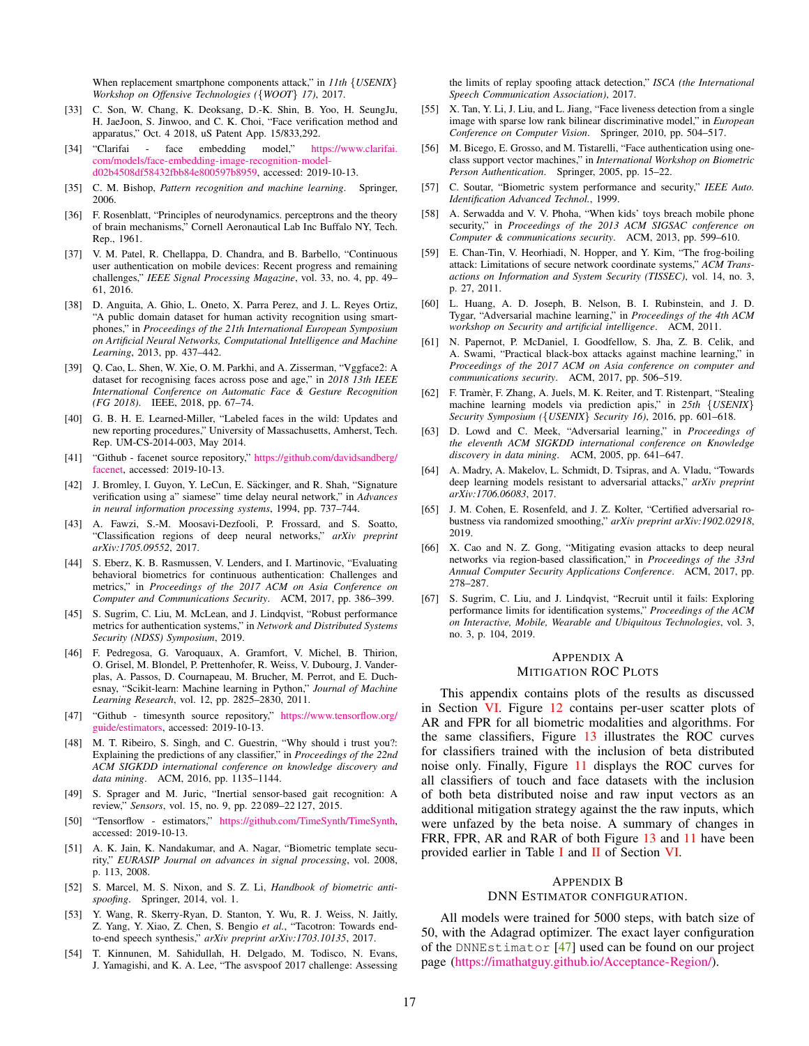When replacement smartphone components attack," in *11th* {*USENIX*} *Workshop on Offensive Technologies (*{*WOOT*} *17)*, 2017.

- <span id="page-16-0"></span>[33] C. Son, W. Chang, K. Deoksang, D.-K. Shin, B. Yoo, H. SeungJu, H. JaeJoon, S. Jinwoo, and C. K. Choi, "Face verification method and apparatus," Oct. 4 2018, uS Patent App. 15/833,292.
- <span id="page-16-1"></span>[34] "Clarifai - face embedding model," [https://www.clarifai.](https://www.clarifai.com/models/face-embedding-image-recognition-model-d02b4508df58432fbb84e800597b8959) [com/models/face-embedding-image-recognition-model](https://www.clarifai.com/models/face-embedding-image-recognition-model-d02b4508df58432fbb84e800597b8959)[d02b4508df58432fbb84e800597b8959,](https://www.clarifai.com/models/face-embedding-image-recognition-model-d02b4508df58432fbb84e800597b8959) accessed: 2019-10-13.
- <span id="page-16-2"></span>[35] C. M. Bishop, *Pattern recognition and machine learning*. Springer, 2006.
- <span id="page-16-3"></span>[36] F. Rosenblatt, "Principles of neurodynamics. perceptrons and the theory of brain mechanisms," Cornell Aeronautical Lab Inc Buffalo NY, Tech. Rep., 1961.
- <span id="page-16-4"></span>[37] V. M. Patel, R. Chellappa, D. Chandra, and B. Barbello, "Continuous user authentication on mobile devices: Recent progress and remaining challenges," *IEEE Signal Processing Magazine*, vol. 33, no. 4, pp. 49– 61, 2016.
- <span id="page-16-5"></span>[38] D. Anguita, A. Ghio, L. Oneto, X. Parra Perez, and J. L. Reyes Ortiz, "A public domain dataset for human activity recognition using smartphones," in *Proceedings of the 21th International European Symposium on Artificial Neural Networks, Computational Intelligence and Machine Learning*, 2013, pp. 437–442.
- <span id="page-16-6"></span>[39] Q. Cao, L. Shen, W. Xie, O. M. Parkhi, and A. Zisserman, "Vggface2: A dataset for recognising faces across pose and age," in *2018 13th IEEE International Conference on Automatic Face & Gesture Recognition (FG 2018)*. IEEE, 2018, pp. 67–74.
- <span id="page-16-7"></span>[40] G. B. H. E. Learned-Miller, "Labeled faces in the wild: Updates and new reporting procedures," University of Massachusetts, Amherst, Tech. Rep. UM-CS-2014-003, May 2014.
- <span id="page-16-8"></span>[41] "Github - facenet source repository," [https://github.com/davidsandberg/](https://github.com/davidsandberg/facenet) [facenet,](https://github.com/davidsandberg/facenet) accessed: 2019-10-13.
- <span id="page-16-9"></span>[42] J. Bromley, I. Guyon, Y. LeCun, E. Säckinger, and R. Shah, "Signature verification using a" siamese" time delay neural network," in *Advances in neural information processing systems*, 1994, pp. 737–744.
- <span id="page-16-10"></span>[43] A. Fawzi, S.-M. Moosavi-Dezfooli, P. Frossard, and S. Soatto, "Classification regions of deep neural networks," *arXiv preprint arXiv:1705.09552*, 2017.
- <span id="page-16-11"></span>[44] S. Eberz, K. B. Rasmussen, V. Lenders, and I. Martinovic, "Evaluating behavioral biometrics for continuous authentication: Challenges and metrics," in *Proceedings of the 2017 ACM on Asia Conference on Computer and Communications Security*. ACM, 2017, pp. 386–399.
- <span id="page-16-12"></span>[45] S. Sugrim, C. Liu, M. McLean, and J. Lindqvist, "Robust performance" metrics for authentication systems," in *Network and Distributed Systems Security (NDSS) Symposium*, 2019.
- <span id="page-16-13"></span>[46] F. Pedregosa, G. Varoquaux, A. Gramfort, V. Michel, B. Thirion, O. Grisel, M. Blondel, P. Prettenhofer, R. Weiss, V. Dubourg, J. Vanderplas, A. Passos, D. Cournapeau, M. Brucher, M. Perrot, and E. Duchesnay, "Scikit-learn: Machine learning in Python," *Journal of Machine Learning Research*, vol. 12, pp. 2825–2830, 2011.
- <span id="page-16-14"></span>[47] "Github - timesynth source repository," [https://www.tensorflow.org/](https://www.tensorflow.org/guide/estimators) [guide/estimators,](https://www.tensorflow.org/guide/estimators) accessed: 2019-10-13.
- <span id="page-16-16"></span>[48] M. T. Ribeiro, S. Singh, and C. Guestrin, "Why should i trust you?: Explaining the predictions of any classifier," in *Proceedings of the 22nd ACM SIGKDD international conference on knowledge discovery and data mining*. ACM, 2016, pp. 1135–1144.
- <span id="page-16-17"></span>[49] S. Sprager and M. Juric, "Inertial sensor-based gait recognition: A review," *Sensors*, vol. 15, no. 9, pp. 22 089–22 127, 2015.
- <span id="page-16-18"></span>[50] "Tensorflow - estimators," [https://github.com/TimeSynth/TimeSynth,](https://github.com/TimeSynth/TimeSynth) accessed: 2019-10-13.
- <span id="page-16-20"></span>[51] A. K. Jain, K. Nandakumar, and A. Nagar, "Biometric template security," *EURASIP Journal on advances in signal processing*, vol. 2008, p. 113, 2008.
- <span id="page-16-21"></span>[52] S. Marcel, M. S. Nixon, and S. Z. Li, *Handbook of biometric antispoofing*. Springer, 2014, vol. 1.
- <span id="page-16-22"></span>[53] Y. Wang, R. Skerry-Ryan, D. Stanton, Y. Wu, R. J. Weiss, N. Jaitly, Z. Yang, Y. Xiao, Z. Chen, S. Bengio *et al.*, "Tacotron: Towards endto-end speech synthesis," *arXiv preprint arXiv:1703.10135*, 2017.
- <span id="page-16-23"></span>[54] T. Kinnunen, M. Sahidullah, H. Delgado, M. Todisco, N. Evans, J. Yamagishi, and K. A. Lee, "The asvspoof 2017 challenge: Assessing

the limits of replay spoofing attack detection," *ISCA (the International Speech Communication Association)*, 2017.

- <span id="page-16-24"></span>[55] X. Tan, Y. Li, J. Liu, and L. Jiang, "Face liveness detection from a single image with sparse low rank bilinear discriminative model," in *European Conference on Computer Vision*. Springer, 2010, pp. 504–517.
- <span id="page-16-25"></span>[56] M. Bicego, E. Grosso, and M. Tistarelli, "Face authentication using oneclass support vector machines," in *International Workshop on Biometric Person Authentication*. Springer, 2005, pp. 15–22.
- <span id="page-16-26"></span>[57] C. Soutar, "Biometric system performance and security," *IEEE Auto. Identification Advanced Technol.*, 1999.
- <span id="page-16-27"></span>[58] A. Serwadda and V. V. Phoha, "When kids' toys breach mobile phone security," in *Proceedings of the 2013 ACM SIGSAC conference on Computer & communications security*. ACM, 2013, pp. 599–610.
- <span id="page-16-28"></span>[59] E. Chan-Tin, V. Heorhiadi, N. Hopper, and Y. Kim, "The frog-boiling attack: Limitations of secure network coordinate systems," *ACM Transactions on Information and System Security (TISSEC)*, vol. 14, no. 3, p. 27, 2011.
- <span id="page-16-29"></span>[60] L. Huang, A. D. Joseph, B. Nelson, B. I. Rubinstein, and J. D. Tygar, "Adversarial machine learning," in *Proceedings of the 4th ACM workshop on Security and artificial intelligence*. ACM, 2011.
- <span id="page-16-30"></span>[61] N. Papernot, P. McDaniel, I. Goodfellow, S. Jha, Z. B. Celik, and A. Swami, "Practical black-box attacks against machine learning," in *Proceedings of the 2017 ACM on Asia conference on computer and communications security*. ACM, 2017, pp. 506–519.
- <span id="page-16-31"></span>[62] F. Tramèr, F. Zhang, A. Juels, M. K. Reiter, and T. Ristenpart, "Stealing machine learning models via prediction apis," in *25th* {*USENIX*} *Security Symposium (*{*USENIX*} *Security 16)*, 2016, pp. 601–618.
- <span id="page-16-32"></span>[63] D. Lowd and C. Meek, "Adversarial learning," in *Proceedings of the eleventh ACM SIGKDD international conference on Knowledge discovery in data mining*. ACM, 2005, pp. 641–647.
- <span id="page-16-33"></span>[64] A. Madry, A. Makelov, L. Schmidt, D. Tsipras, and A. Vladu, "Towards deep learning models resistant to adversarial attacks," *arXiv preprint arXiv:1706.06083*, 2017.
- <span id="page-16-34"></span>[65] J. M. Cohen, E. Rosenfeld, and J. Z. Kolter, "Certified adversarial robustness via randomized smoothing," *arXiv preprint arXiv:1902.02918*, 2019.
- <span id="page-16-35"></span>[66] X. Cao and N. Z. Gong, "Mitigating evasion attacks to deep neural networks via region-based classification," in *Proceedings of the 33rd Annual Computer Security Applications Conference*. ACM, 2017, pp. 278–287.
- <span id="page-16-36"></span>[67] S. Sugrim, C. Liu, and J. Lindqvist, "Recruit until it fails: Exploring performance limits for identification systems," *Proceedings of the ACM on Interactive, Mobile, Wearable and Ubiquitous Technologies*, vol. 3, no. 3, p. 104, 2019.

# <span id="page-16-19"></span>APPENDIX A MITIGATION ROC PLOTS

This appendix contains plots of the results as discussed in Section [VI.](#page-11-1) Figure [12](#page-17-1) contains per-user scatter plots of AR and FPR for all biometric modalities and algorithms. For the same classifiers, Figure [13](#page-17-0) illustrates the ROC curves for classifiers trained with the inclusion of beta distributed noise only. Finally, Figure [11](#page-15-25) displays the ROC curves for all classifiers of touch and face datasets with the inclusion of both beta distributed noise and raw input vectors as an additional mitigation strategy against the the raw inputs, which were unfazed by the beta noise. A summary of changes in FRR, FPR, AR and RAR of both Figure [13](#page-17-0) and [11](#page-15-25) have been provided earlier in Table [I](#page-12-1) and [II](#page-12-2) of Section [VI.](#page-11-1)

#### <span id="page-16-15"></span>APPENDIX B

#### DNN ESTIMATOR CONFIGURATION.

All models were trained for 5000 steps, with batch size of 50, with the Adagrad optimizer. The exact layer configuration of the DNNEstimator [\[47\]](#page-16-14) used can be found on our project page [\(https://imathatguy.github.io/Acceptance-Region/\)](https://imathatguy.github.io/Acceptance-Region/).